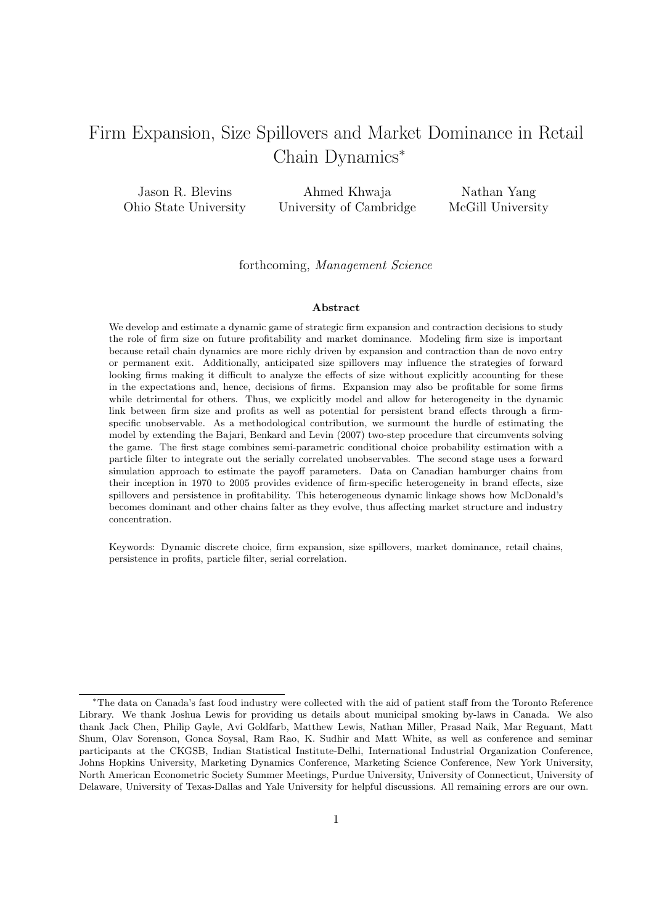# Firm Expansion, Size Spillovers and Market Dominance in Retail Chain Dynamics*<sup>∗</sup>*

Jason R. Blevins Ohio State University Ahmed Khwaja University of Cambridge Nathan Yang McGill University

forthcoming, *Management Science*

#### **Abstract**

We develop and estimate a dynamic game of strategic firm expansion and contraction decisions to study the role of firm size on future profitability and market dominance. Modeling firm size is important because retail chain dynamics are more richly driven by expansion and contraction than de novo entry or permanent exit. Additionally, anticipated size spillovers may influence the strategies of forward looking firms making it difficult to analyze the effects of size without explicitly accounting for these in the expectations and, hence, decisions of firms. Expansion may also be profitable for some firms while detrimental for others. Thus, we explicitly model and allow for heterogeneity in the dynamic link between firm size and profits as well as potential for persistent brand effects through a firmspecific unobservable. As a methodological contribution, we surmount the hurdle of estimating the model by extending the Bajari, Benkard and Levin (2007) two-step procedure that circumvents solving the game. The first stage combines semi-parametric conditional choice probability estimation with a particle filter to integrate out the serially correlated unobservables. The second stage uses a forward simulation approach to estimate the payoff parameters. Data on Canadian hamburger chains from their inception in 1970 to 2005 provides evidence of firm-specific heterogeneity in brand effects, size spillovers and persistence in profitability. This heterogeneous dynamic linkage shows how McDonald's becomes dominant and other chains falter as they evolve, thus affecting market structure and industry concentration.

Keywords: Dynamic discrete choice, firm expansion, size spillovers, market dominance, retail chains, persistence in profits, particle filter, serial correlation.

*<sup>∗</sup>*The data on Canada's fast food industry were collected with the aid of patient staff from the Toronto Reference Library. We thank Joshua Lewis for providing us details about municipal smoking by-laws in Canada. We also thank Jack Chen, Philip Gayle, Avi Goldfarb, Matthew Lewis, Nathan Miller, Prasad Naik, Mar Reguant, Matt Shum, Olav Sorenson, Gonca Soysal, Ram Rao, K. Sudhir and Matt White, as well as conference and seminar participants at the CKGSB, Indian Statistical Institute-Delhi, International Industrial Organization Conference, Johns Hopkins University, Marketing Dynamics Conference, Marketing Science Conference, New York University, North American Econometric Society Summer Meetings, Purdue University, University of Connecticut, University of Delaware, University of Texas-Dallas and Yale University for helpful discussions. All remaining errors are our own.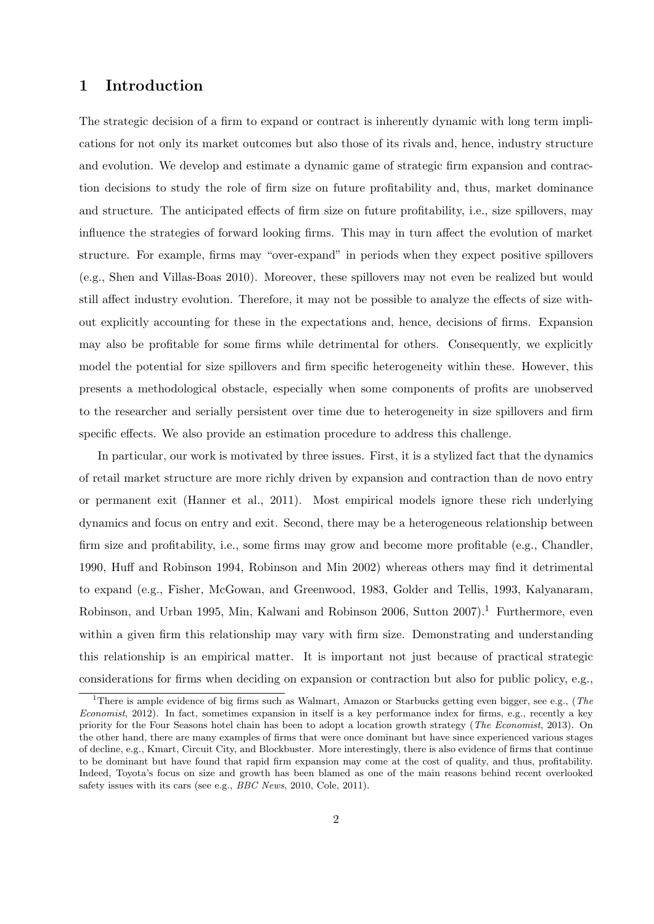### **1 Introduction**

The strategic decision of a firm to expand or contract is inherently dynamic with long term implications for not only its market outcomes but also those of its rivals and, hence, industry structure and evolution. We develop and estimate a dynamic game of strategic firm expansion and contraction decisions to study the role of firm size on future profitability and, thus, market dominance and structure. The anticipated effects of firm size on future profitability, i.e., size spillovers, may influence the strategies of forward looking firms. This may in turn affect the evolution of market structure. For example, firms may "over-expand" in periods when they expect positive spillovers (e.g., Shen and Villas-Boas 2010). Moreover, these spillovers may not even be realized but would still affect industry evolution. Therefore, it may not be possible to analyze the effects of size without explicitly accounting for these in the expectations and, hence, decisions of firms. Expansion may also be profitable for some firms while detrimental for others. Consequently, we explicitly model the potential for size spillovers and firm specific heterogeneity within these. However, this presents a methodological obstacle, especially when some components of profits are unobserved to the researcher and serially persistent over time due to heterogeneity in size spillovers and firm specific effects. We also provide an estimation procedure to address this challenge.

In particular, our work is motivated by three issues. First, it is a stylized fact that the dynamics of retail market structure are more richly driven by expansion and contraction than de novo entry or permanent exit (Hanner et al., 2011). Most empirical models ignore these rich underlying dynamics and focus on entry and exit. Second, there may be a heterogeneous relationship between firm size and profitability, i.e., some firms may grow and become more profitable (e.g., Chandler, 1990, Huff and Robinson 1994, Robinson and Min 2002) whereas others may find it detrimental to expand (e.g., Fisher, McGowan, and Greenwood, 1983, Golder and Tellis, 1993, Kalyanaram, Robinson, and Urban 1995, Min, Kalwani and Robinson 2006, Sutton 2007).<sup>1</sup> Furthermore, even within a given firm this relationship may vary with firm size. Demonstrating and understanding this relationship is an empirical matter. It is important not just because of practical strategic considerations for firms when deciding on expansion or contraction but also for public policy, e.g.,

<sup>1</sup>There is ample evidence of big firms such as Walmart, Amazon or Starbucks getting even bigger, see e.g., (*The Economist*, 2012). In fact, sometimes expansion in itself is a key performance index for firms, e.g., recently a key priority for the Four Seasons hotel chain has been to adopt a location growth strategy (*The Economist*, 2013). On the other hand, there are many examples of firms that were once dominant but have since experienced various stages of decline, e.g., Kmart, Circuit City, and Blockbuster. More interestingly, there is also evidence of firms that continue to be dominant but have found that rapid firm expansion may come at the cost of quality, and thus, profitability. Indeed, Toyota's focus on size and growth has been blamed as one of the main reasons behind recent overlooked safety issues with its cars (see e.g., *BBC News*, 2010, Cole, 2011).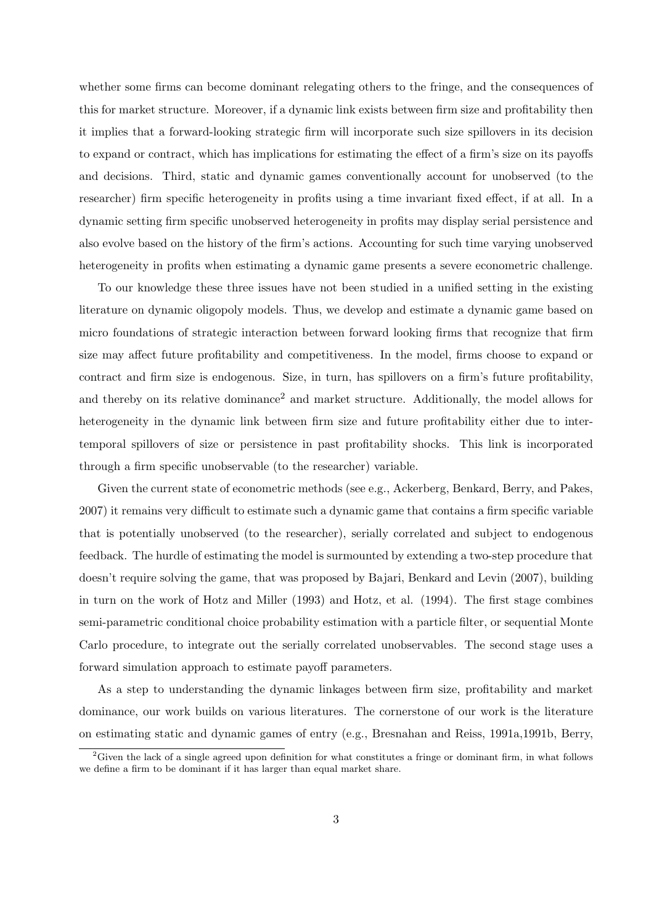whether some firms can become dominant relegating others to the fringe, and the consequences of this for market structure. Moreover, if a dynamic link exists between firm size and profitability then it implies that a forward-looking strategic firm will incorporate such size spillovers in its decision to expand or contract, which has implications for estimating the effect of a firm's size on its payoffs and decisions. Third, static and dynamic games conventionally account for unobserved (to the researcher) firm specific heterogeneity in profits using a time invariant fixed effect, if at all. In a dynamic setting firm specific unobserved heterogeneity in profits may display serial persistence and also evolve based on the history of the firm's actions. Accounting for such time varying unobserved heterogeneity in profits when estimating a dynamic game presents a severe econometric challenge.

To our knowledge these three issues have not been studied in a unified setting in the existing literature on dynamic oligopoly models. Thus, we develop and estimate a dynamic game based on micro foundations of strategic interaction between forward looking firms that recognize that firm size may affect future profitability and competitiveness. In the model, firms choose to expand or contract and firm size is endogenous. Size, in turn, has spillovers on a firm's future profitability, and thereby on its relative dominance<sup>2</sup> and market structure. Additionally, the model allows for heterogeneity in the dynamic link between firm size and future profitability either due to intertemporal spillovers of size or persistence in past profitability shocks. This link is incorporated through a firm specific unobservable (to the researcher) variable.

Given the current state of econometric methods (see e.g., Ackerberg, Benkard, Berry, and Pakes, 2007) it remains very difficult to estimate such a dynamic game that contains a firm specific variable that is potentially unobserved (to the researcher), serially correlated and subject to endogenous feedback. The hurdle of estimating the model is surmounted by extending a two-step procedure that doesn't require solving the game, that was proposed by Bajari, Benkard and Levin (2007), building in turn on the work of Hotz and Miller (1993) and Hotz, et al. (1994). The first stage combines semi-parametric conditional choice probability estimation with a particle filter, or sequential Monte Carlo procedure, to integrate out the serially correlated unobservables. The second stage uses a forward simulation approach to estimate payoff parameters.

As a step to understanding the dynamic linkages between firm size, profitability and market dominance, our work builds on various literatures. The cornerstone of our work is the literature on estimating static and dynamic games of entry (e.g., Bresnahan and Reiss, 1991a,1991b, Berry,

 $2$ Given the lack of a single agreed upon definition for what constitutes a fringe or dominant firm, in what follows we define a firm to be dominant if it has larger than equal market share.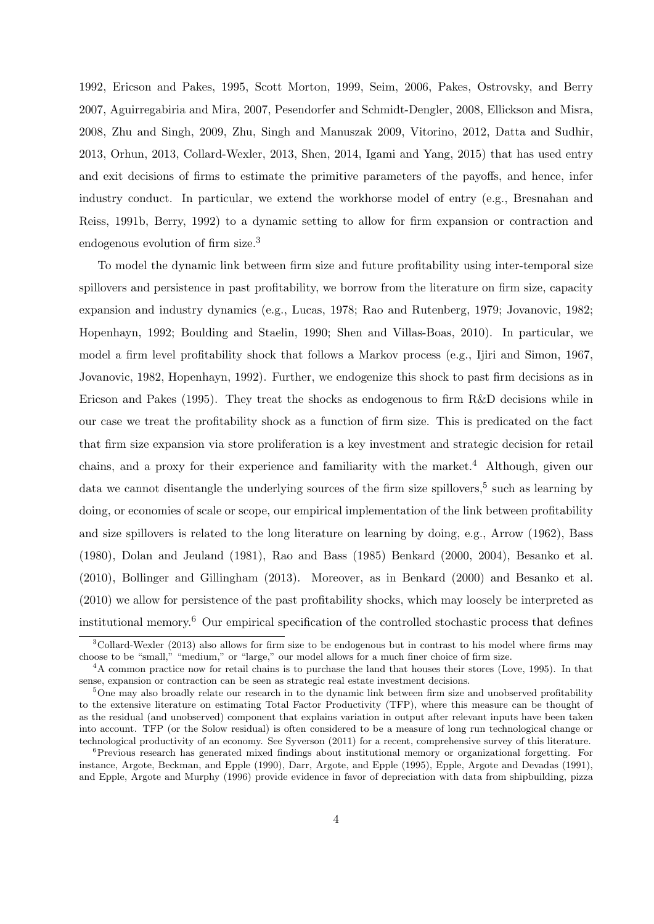1992, Ericson and Pakes, 1995, Scott Morton, 1999, Seim, 2006, Pakes, Ostrovsky, and Berry 2007, Aguirregabiria and Mira, 2007, Pesendorfer and Schmidt-Dengler, 2008, Ellickson and Misra, 2008, Zhu and Singh, 2009, Zhu, Singh and Manuszak 2009, Vitorino, 2012, Datta and Sudhir, 2013, Orhun, 2013, Collard-Wexler, 2013, Shen, 2014, Igami and Yang, 2015) that has used entry and exit decisions of firms to estimate the primitive parameters of the payoffs, and hence, infer industry conduct. In particular, we extend the workhorse model of entry (e.g., Bresnahan and Reiss, 1991b, Berry, 1992) to a dynamic setting to allow for firm expansion or contraction and endogenous evolution of firm size.<sup>3</sup>

To model the dynamic link between firm size and future profitability using inter-temporal size spillovers and persistence in past profitability, we borrow from the literature on firm size, capacity expansion and industry dynamics (e.g., Lucas, 1978; Rao and Rutenberg, 1979; Jovanovic, 1982; Hopenhayn, 1992; Boulding and Staelin, 1990; Shen and Villas-Boas, 2010). In particular, we model a firm level profitability shock that follows a Markov process (e.g., Ijiri and Simon, 1967, Jovanovic, 1982, Hopenhayn, 1992). Further, we endogenize this shock to past firm decisions as in Ericson and Pakes (1995). They treat the shocks as endogenous to firm R&D decisions while in our case we treat the profitability shock as a function of firm size. This is predicated on the fact that firm size expansion via store proliferation is a key investment and strategic decision for retail chains, and a proxy for their experience and familiarity with the market.<sup>4</sup> Although, given our data we cannot disentangle the underlying sources of the firm size spillovers,<sup>5</sup> such as learning by doing, or economies of scale or scope, our empirical implementation of the link between profitability and size spillovers is related to the long literature on learning by doing, e.g., Arrow (1962), Bass (1980), Dolan and Jeuland (1981), Rao and Bass (1985) Benkard (2000, 2004), Besanko et al. (2010), Bollinger and Gillingham (2013). Moreover, as in Benkard (2000) and Besanko et al. (2010) we allow for persistence of the past profitability shocks, which may loosely be interpreted as institutional memory.<sup>6</sup> Our empirical specification of the controlled stochastic process that defines

<sup>3</sup>Collard-Wexler (2013) also allows for firm size to be endogenous but in contrast to his model where firms may choose to be "small," "medium," or "large," our model allows for a much finer choice of firm size.

<sup>4</sup>A common practice now for retail chains is to purchase the land that houses their stores (Love, 1995). In that sense, expansion or contraction can be seen as strategic real estate investment decisions.

<sup>&</sup>lt;sup>5</sup>One may also broadly relate our research in to the dynamic link between firm size and unobserved profitability to the extensive literature on estimating Total Factor Productivity (TFP), where this measure can be thought of as the residual (and unobserved) component that explains variation in output after relevant inputs have been taken into account. TFP (or the Solow residual) is often considered to be a measure of long run technological change or technological productivity of an economy. See Syverson (2011) for a recent, comprehensive survey of this literature.

<sup>6</sup>Previous research has generated mixed findings about institutional memory or organizational forgetting. For instance, Argote, Beckman, and Epple (1990), Darr, Argote, and Epple (1995), Epple, Argote and Devadas (1991), and Epple, Argote and Murphy (1996) provide evidence in favor of depreciation with data from shipbuilding, pizza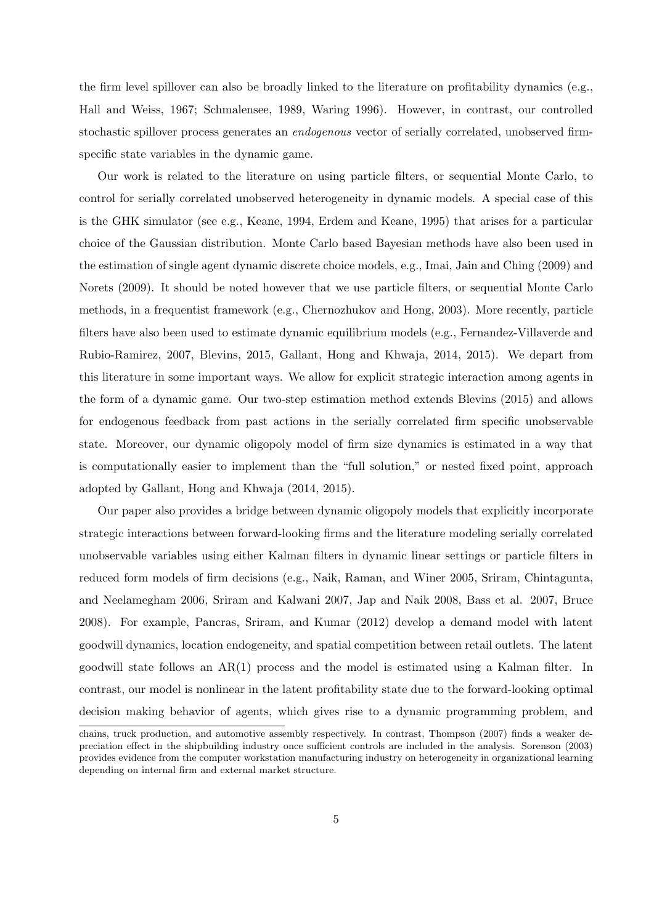the firm level spillover can also be broadly linked to the literature on profitability dynamics (e.g., Hall and Weiss, 1967; Schmalensee, 1989, Waring 1996). However, in contrast, our controlled stochastic spillover process generates an *endogenous* vector of serially correlated, unobserved firmspecific state variables in the dynamic game.

Our work is related to the literature on using particle filters, or sequential Monte Carlo, to control for serially correlated unobserved heterogeneity in dynamic models. A special case of this is the GHK simulator (see e.g., Keane, 1994, Erdem and Keane, 1995) that arises for a particular choice of the Gaussian distribution. Monte Carlo based Bayesian methods have also been used in the estimation of single agent dynamic discrete choice models, e.g., Imai, Jain and Ching (2009) and Norets (2009). It should be noted however that we use particle filters, or sequential Monte Carlo methods, in a frequentist framework (e.g., Chernozhukov and Hong, 2003). More recently, particle filters have also been used to estimate dynamic equilibrium models (e.g., Fernandez-Villaverde and Rubio-Ramirez, 2007, Blevins, 2015, Gallant, Hong and Khwaja, 2014, 2015). We depart from this literature in some important ways. We allow for explicit strategic interaction among agents in the form of a dynamic game. Our two-step estimation method extends Blevins (2015) and allows for endogenous feedback from past actions in the serially correlated firm specific unobservable state. Moreover, our dynamic oligopoly model of firm size dynamics is estimated in a way that is computationally easier to implement than the "full solution," or nested fixed point, approach adopted by Gallant, Hong and Khwaja (2014, 2015).

Our paper also provides a bridge between dynamic oligopoly models that explicitly incorporate strategic interactions between forward-looking firms and the literature modeling serially correlated unobservable variables using either Kalman filters in dynamic linear settings or particle filters in reduced form models of firm decisions (e.g., Naik, Raman, and Winer 2005, Sriram, Chintagunta, and Neelamegham 2006, Sriram and Kalwani 2007, Jap and Naik 2008, Bass et al. 2007, Bruce 2008). For example, Pancras, Sriram, and Kumar (2012) develop a demand model with latent goodwill dynamics, location endogeneity, and spatial competition between retail outlets. The latent goodwill state follows an AR(1) process and the model is estimated using a Kalman filter. In contrast, our model is nonlinear in the latent profitability state due to the forward-looking optimal decision making behavior of agents, which gives rise to a dynamic programming problem, and

chains, truck production, and automotive assembly respectively. In contrast, Thompson (2007) finds a weaker depreciation effect in the shipbuilding industry once sufficient controls are included in the analysis. Sorenson (2003) provides evidence from the computer workstation manufacturing industry on heterogeneity in organizational learning depending on internal firm and external market structure.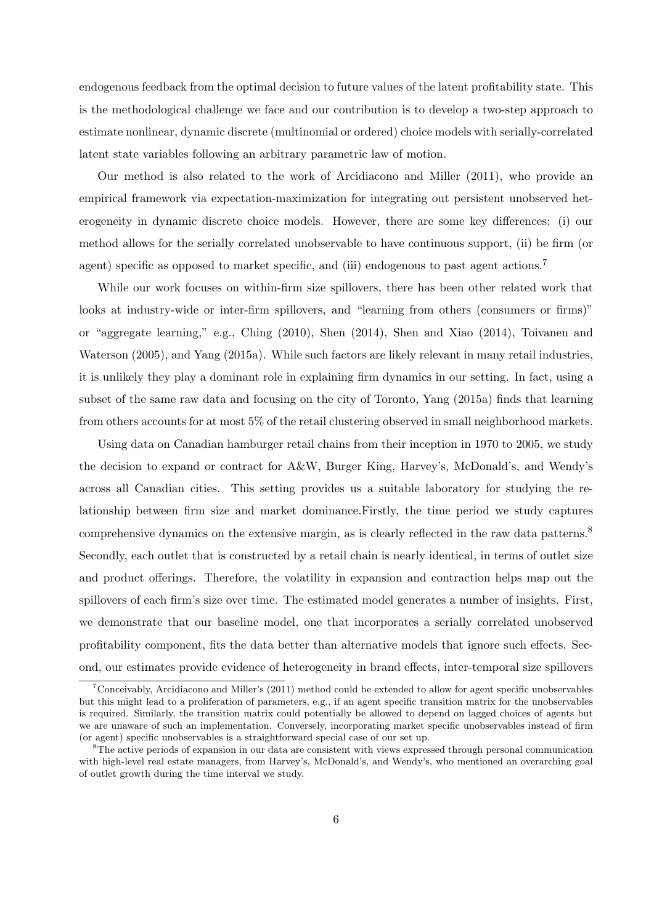endogenous feedback from the optimal decision to future values of the latent profitability state. This is the methodological challenge we face and our contribution is to develop a two-step approach to estimate nonlinear, dynamic discrete (multinomial or ordered) choice models with serially-correlated latent state variables following an arbitrary parametric law of motion.

Our method is also related to the work of Arcidiacono and Miller (2011), who provide an empirical framework via expectation-maximization for integrating out persistent unobserved heterogeneity in dynamic discrete choice models. However, there are some key differences: (i) our method allows for the serially correlated unobservable to have continuous support, (ii) be firm (or agent) specific as opposed to market specific, and (iii) endogenous to past agent actions.<sup>7</sup>

While our work focuses on within-firm size spillovers, there has been other related work that looks at industry-wide or inter-firm spillovers, and "learning from others (consumers or firms)" or "aggregate learning," e.g., Ching (2010), Shen (2014), Shen and Xiao (2014), Toivanen and Waterson (2005), and Yang (2015a). While such factors are likely relevant in many retail industries, it is unlikely they play a dominant role in explaining firm dynamics in our setting. In fact, using a subset of the same raw data and focusing on the city of Toronto, Yang (2015a) finds that learning from others accounts for at most 5% of the retail clustering observed in small neighborhood markets.

Using data on Canadian hamburger retail chains from their inception in 1970 to 2005, we study the decision to expand or contract for A&W, Burger King, Harvey's, McDonald's, and Wendy's across all Canadian cities. This setting provides us a suitable laboratory for studying the relationship between firm size and market dominance.Firstly, the time period we study captures comprehensive dynamics on the extensive margin, as is clearly reflected in the raw data patterns.<sup>8</sup> Secondly, each outlet that is constructed by a retail chain is nearly identical, in terms of outlet size and product offerings. Therefore, the volatility in expansion and contraction helps map out the spillovers of each firm's size over time. The estimated model generates a number of insights. First, we demonstrate that our baseline model, one that incorporates a serially correlated unobserved profitability component, fits the data better than alternative models that ignore such effects. Second, our estimates provide evidence of heterogeneity in brand effects, inter-temporal size spillovers

<sup>&</sup>lt;sup>7</sup>Conceivably, Arcidiacono and Miller's (2011) method could be extended to allow for agent specific unobservables but this might lead to a proliferation of parameters, e.g., if an agent specific transition matrix for the unobservables is required. Similarly, the transition matrix could potentially be allowed to depend on lagged choices of agents but we are unaware of such an implementation. Conversely, incorporating market specific unobservables instead of firm (or agent) specific unobservables is a straightforward special case of our set up.

<sup>&</sup>lt;sup>8</sup>The active periods of expansion in our data are consistent with views expressed through personal communication with high-level real estate managers, from Harvey's, McDonald's, and Wendy's, who mentioned an overarching goal of outlet growth during the time interval we study.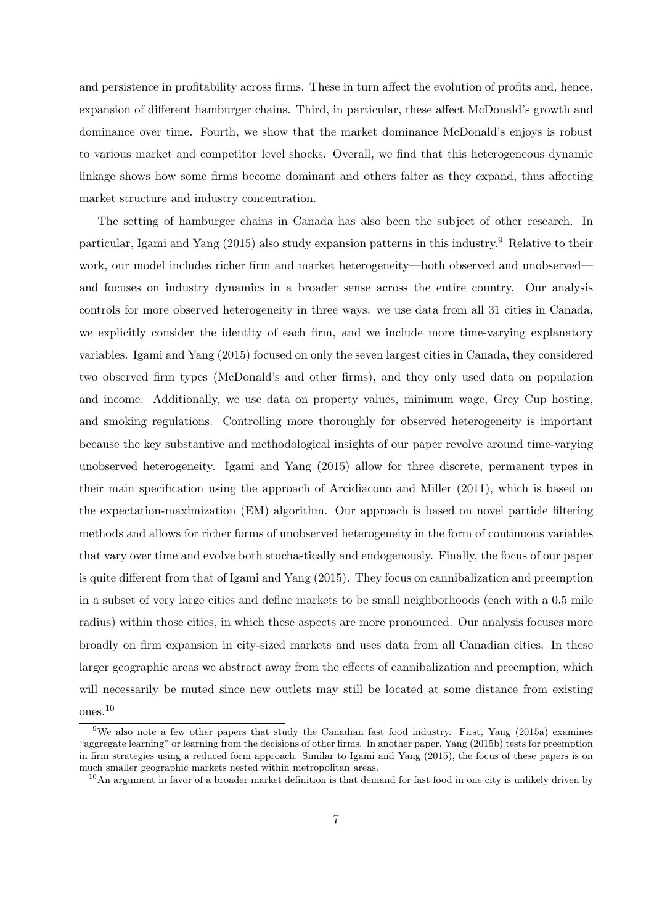and persistence in profitability across firms. These in turn affect the evolution of profits and, hence, expansion of different hamburger chains. Third, in particular, these affect McDonald's growth and dominance over time. Fourth, we show that the market dominance McDonald's enjoys is robust to various market and competitor level shocks. Overall, we find that this heterogeneous dynamic linkage shows how some firms become dominant and others falter as they expand, thus affecting market structure and industry concentration.

The setting of hamburger chains in Canada has also been the subject of other research. In particular, Igami and Yang (2015) also study expansion patterns in this industry.<sup>9</sup> Relative to their work, our model includes richer firm and market heterogeneity—both observed and unobserved and focuses on industry dynamics in a broader sense across the entire country. Our analysis controls for more observed heterogeneity in three ways: we use data from all 31 cities in Canada, we explicitly consider the identity of each firm, and we include more time-varying explanatory variables. Igami and Yang (2015) focused on only the seven largest cities in Canada, they considered two observed firm types (McDonald's and other firms), and they only used data on population and income. Additionally, we use data on property values, minimum wage, Grey Cup hosting, and smoking regulations. Controlling more thoroughly for observed heterogeneity is important because the key substantive and methodological insights of our paper revolve around time-varying unobserved heterogeneity. Igami and Yang (2015) allow for three discrete, permanent types in their main specification using the approach of Arcidiacono and Miller (2011), which is based on the expectation-maximization (EM) algorithm. Our approach is based on novel particle filtering methods and allows for richer forms of unobserved heterogeneity in the form of continuous variables that vary over time and evolve both stochastically and endogenously. Finally, the focus of our paper is quite different from that of Igami and Yang (2015). They focus on cannibalization and preemption in a subset of very large cities and define markets to be small neighborhoods (each with a 0.5 mile radius) within those cities, in which these aspects are more pronounced. Our analysis focuses more broadly on firm expansion in city-sized markets and uses data from all Canadian cities. In these larger geographic areas we abstract away from the effects of cannibalization and preemption, which will necessarily be muted since new outlets may still be located at some distance from existing ones.<sup>10</sup>

<sup>9</sup>We also note a few other papers that study the Canadian fast food industry. First, Yang (2015a) examines "aggregate learning" or learning from the decisions of other firms. In another paper, Yang (2015b) tests for preemption in firm strategies using a reduced form approach. Similar to Igami and Yang (2015), the focus of these papers is on much smaller geographic markets nested within metropolitan areas.

 $10$ An argument in favor of a broader market definition is that demand for fast food in one city is unlikely driven by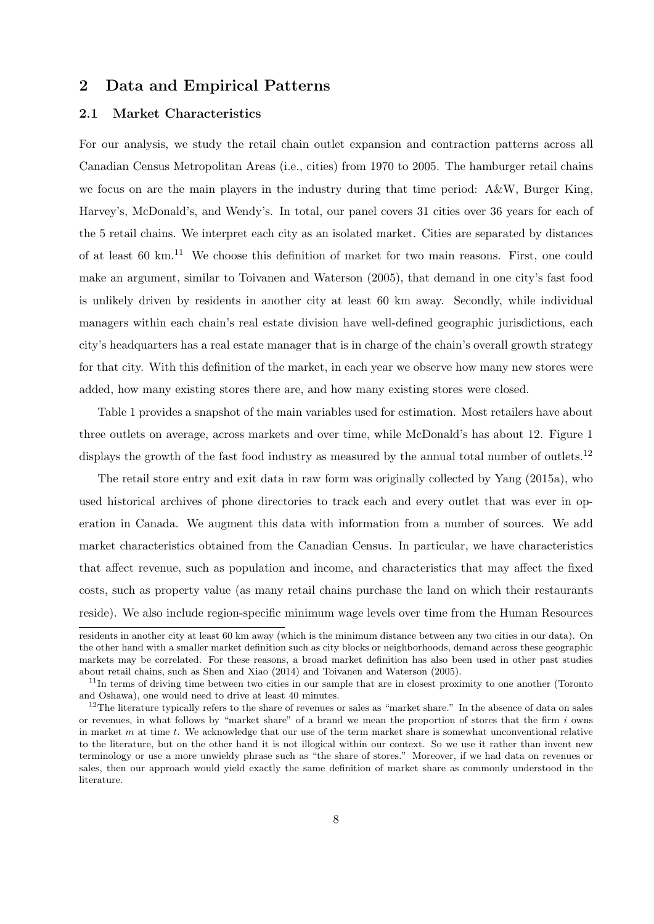### **2 Data and Empirical Patterns**

### **2.1 Market Characteristics**

For our analysis, we study the retail chain outlet expansion and contraction patterns across all Canadian Census Metropolitan Areas (i.e., cities) from 1970 to 2005. The hamburger retail chains we focus on are the main players in the industry during that time period: A&W, Burger King, Harvey's, McDonald's, and Wendy's. In total, our panel covers 31 cities over 36 years for each of the 5 retail chains. We interpret each city as an isolated market. Cities are separated by distances of at least 60 km.<sup>11</sup> We choose this definition of market for two main reasons. First, one could make an argument, similar to Toivanen and Waterson (2005), that demand in one city's fast food is unlikely driven by residents in another city at least 60 km away. Secondly, while individual managers within each chain's real estate division have well-defined geographic jurisdictions, each city's headquarters has a real estate manager that is in charge of the chain's overall growth strategy for that city. With this definition of the market, in each year we observe how many new stores were added, how many existing stores there are, and how many existing stores were closed.

Table 1 provides a snapshot of the main variables used for estimation. Most retailers have about three outlets on average, across markets and over time, while McDonald's has about 12. Figure 1 displays the growth of the fast food industry as measured by the annual total number of outlets.<sup>12</sup>

The retail store entry and exit data in raw form was originally collected by Yang (2015a), who used historical archives of phone directories to track each and every outlet that was ever in operation in Canada. We augment this data with information from a number of sources. We add market characteristics obtained from the Canadian Census. In particular, we have characteristics that affect revenue, such as population and income, and characteristics that may affect the fixed costs, such as property value (as many retail chains purchase the land on which their restaurants reside). We also include region-specific minimum wage levels over time from the Human Resources

residents in another city at least 60 km away (which is the minimum distance between any two cities in our data). On the other hand with a smaller market definition such as city blocks or neighborhoods, demand across these geographic markets may be correlated. For these reasons, a broad market definition has also been used in other past studies about retail chains, such as Shen and Xiao (2014) and Toivanen and Waterson (2005).

 $11$ In terms of driving time between two cities in our sample that are in closest proximity to one another (Toronto and Oshawa), one would need to drive at least 40 minutes.

<sup>&</sup>lt;sup>12</sup>The literature typically refers to the share of revenues or sales as "market share." In the absence of data on sales or revenues, in what follows by "market share" of a brand we mean the proportion of stores that the firm *i* owns in market *m* at time *t*. We acknowledge that our use of the term market share is somewhat unconventional relative to the literature, but on the other hand it is not illogical within our context. So we use it rather than invent new terminology or use a more unwieldy phrase such as "the share of stores." Moreover, if we had data on revenues or sales, then our approach would yield exactly the same definition of market share as commonly understood in the literature.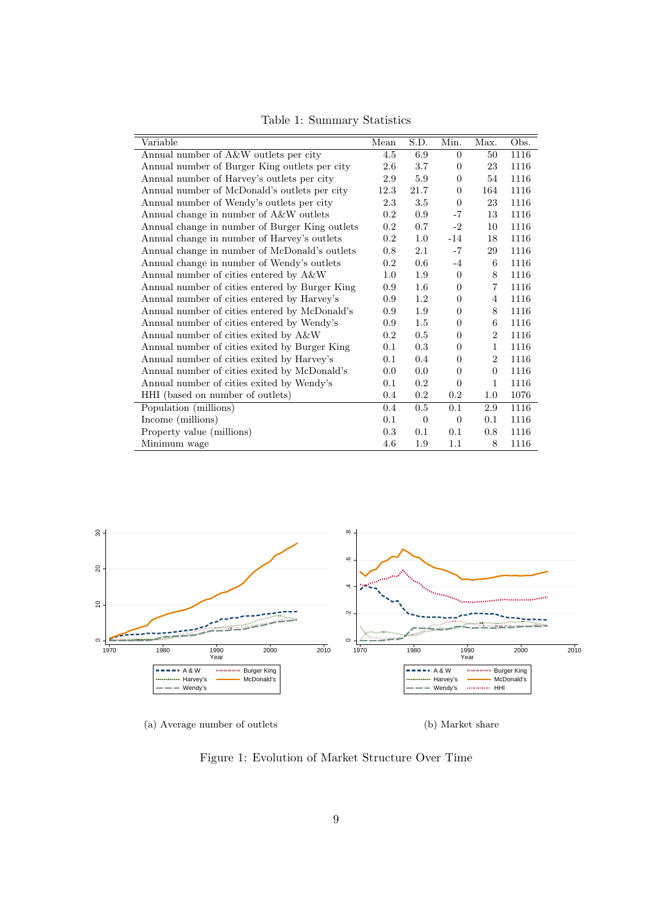| Variable                                       | Mean      | S.D.             | Min.           | Max.           | Obs. |
|------------------------------------------------|-----------|------------------|----------------|----------------|------|
| Annual number of A&W outlets per city          | 4.5       | 6.9              | $\Omega$       | 50             | 1116 |
| Annual number of Burger King outlets per city  | 2.6       | 3.7              | $\theta$       | 23             | 1116 |
| Annual number of Harvey's outlets per city     | 2.9       | 5.9              | $\Omega$       | 54             | 1116 |
| Annual number of McDonald's outlets per city   | 12.3      | 21.7             | $\Omega$       | 164            | 1116 |
| Annual number of Wendy's outlets per city      | 2.3       | $3.5\,$          | $\theta$       | 23             | 1116 |
| Annual change in number of A&W outlets         | 0.2       | 0.9              | $-7$           | 13             | 1116 |
| Annual change in number of Burger King outlets | 0.2       | 0.7              | $-2$           | 10             | 1116 |
| Annual change in number of Harvey's outlets    | 0.2       | $1.0\,$          | $-14$          | 18             | 1116 |
| Annual change in number of McDonald's outlets  | 0.8       | 2.1              | $-7$           | 29             | 1116 |
| Annual change in number of Wendy's outlets     | 0.2       | 0.6              | $-4$           | 6              | 1116 |
| Annual number of cities entered by A&W         | 1.0       | 1.9              | $\theta$       | 8              | 1116 |
| Annual number of cities entered by Burger King | 0.9       | $1.6\,$          | $\theta$       | $\overline{7}$ | 1116 |
| Annual number of cities entered by Harvey's    | 0.9       | $1.2\,$          | $\overline{0}$ | 4              | 1116 |
| Annual number of cities entered by McDonald's  | 0.9       | 1.9              | $\theta$       | 8              | 1116 |
| Annual number of cities entered by Wendy's     | 0.9       | $1.5\,$          | $\theta$       | 6              | 1116 |
| Annual number of cities exited by A&W          | 0.2       | $0.5\,$          | $\theta$       | $\overline{2}$ | 1116 |
| Annual number of cities exited by Burger King  | 0.1       | 0.3              | $\overline{0}$ | $\mathbf{1}$   | 1116 |
| Annual number of cities exited by Harvey's     | 0.1       | 0.4              | $\overline{0}$ | $\overline{2}$ | 1116 |
| Annual number of cities exited by McDonald's   | 0.0       | 0.0              | $\overline{0}$ | $\overline{0}$ | 1116 |
| Annual number of cities exited by Wendy's      | 0.1       | $0.2\,$          | $\overline{0}$ | $\mathbf{1}$   | 1116 |
| HHI (based on number of outlets)               | 0.4       | $0.2\,$          | 0.2            | $1.0\,$        | 1076 |
| Population (millions)                          | 0.4       | 0.5              | 0.1            | 2.9            | 1116 |
| Income (millions)                              | 0.1       | $\boldsymbol{0}$ | $\theta$       | 0.1            | 1116 |
| Property value (millions)                      | $\rm 0.3$ | 0.1              | 0.1            | 0.8            | 1116 |
| Minimum wage                                   | 4.6       | 1.9              | 1.1            | 8              | 1116 |

Table 1: Summary Statistics



(a) Average number of outlets

(b) Market share

Figure 1: Evolution of Market Structure Over Time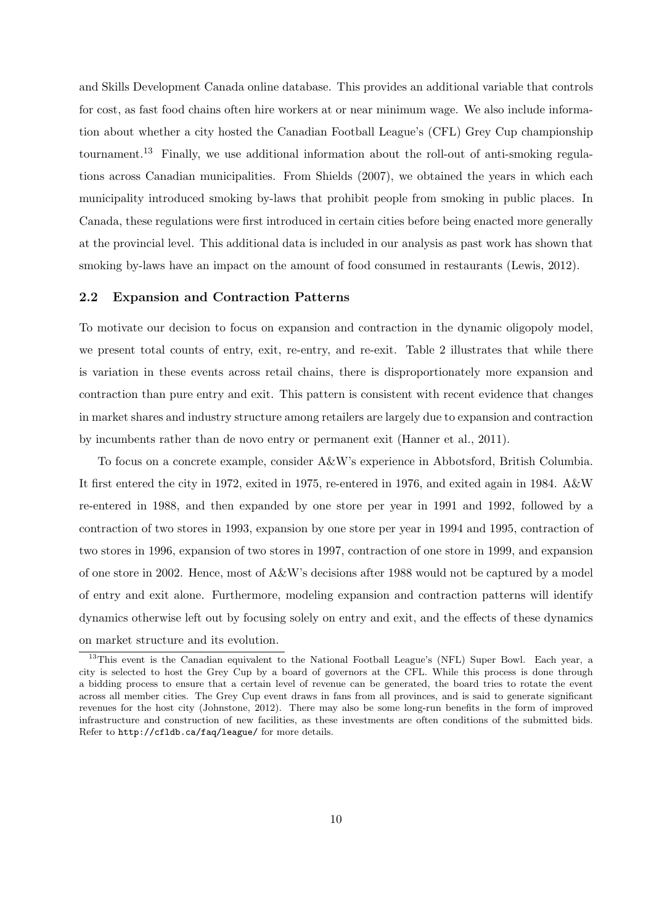and Skills Development Canada online database. This provides an additional variable that controls for cost, as fast food chains often hire workers at or near minimum wage. We also include information about whether a city hosted the Canadian Football League's (CFL) Grey Cup championship tournament.<sup>13</sup> Finally, we use additional information about the roll-out of anti-smoking regulations across Canadian municipalities. From Shields (2007), we obtained the years in which each municipality introduced smoking by-laws that prohibit people from smoking in public places. In Canada, these regulations were first introduced in certain cities before being enacted more generally at the provincial level. This additional data is included in our analysis as past work has shown that smoking by-laws have an impact on the amount of food consumed in restaurants (Lewis, 2012).

#### **2.2 Expansion and Contraction Patterns**

To motivate our decision to focus on expansion and contraction in the dynamic oligopoly model, we present total counts of entry, exit, re-entry, and re-exit. Table 2 illustrates that while there is variation in these events across retail chains, there is disproportionately more expansion and contraction than pure entry and exit. This pattern is consistent with recent evidence that changes in market shares and industry structure among retailers are largely due to expansion and contraction by incumbents rather than de novo entry or permanent exit (Hanner et al., 2011).

To focus on a concrete example, consider A&W's experience in Abbotsford, British Columbia. It first entered the city in 1972, exited in 1975, re-entered in 1976, and exited again in 1984. A&W re-entered in 1988, and then expanded by one store per year in 1991 and 1992, followed by a contraction of two stores in 1993, expansion by one store per year in 1994 and 1995, contraction of two stores in 1996, expansion of two stores in 1997, contraction of one store in 1999, and expansion of one store in 2002. Hence, most of A&W's decisions after 1988 would not be captured by a model of entry and exit alone. Furthermore, modeling expansion and contraction patterns will identify dynamics otherwise left out by focusing solely on entry and exit, and the effects of these dynamics on market structure and its evolution.

<sup>&</sup>lt;sup>13</sup>This event is the Canadian equivalent to the National Football League's (NFL) Super Bowl. Each year, a city is selected to host the Grey Cup by a board of governors at the CFL. While this process is done through a bidding process to ensure that a certain level of revenue can be generated, the board tries to rotate the event across all member cities. The Grey Cup event draws in fans from all provinces, and is said to generate significant revenues for the host city (Johnstone, 2012). There may also be some long-run benefits in the form of improved infrastructure and construction of new facilities, as these investments are often conditions of the submitted bids. Refer to http://cfldb.ca/faq/league/ for more details.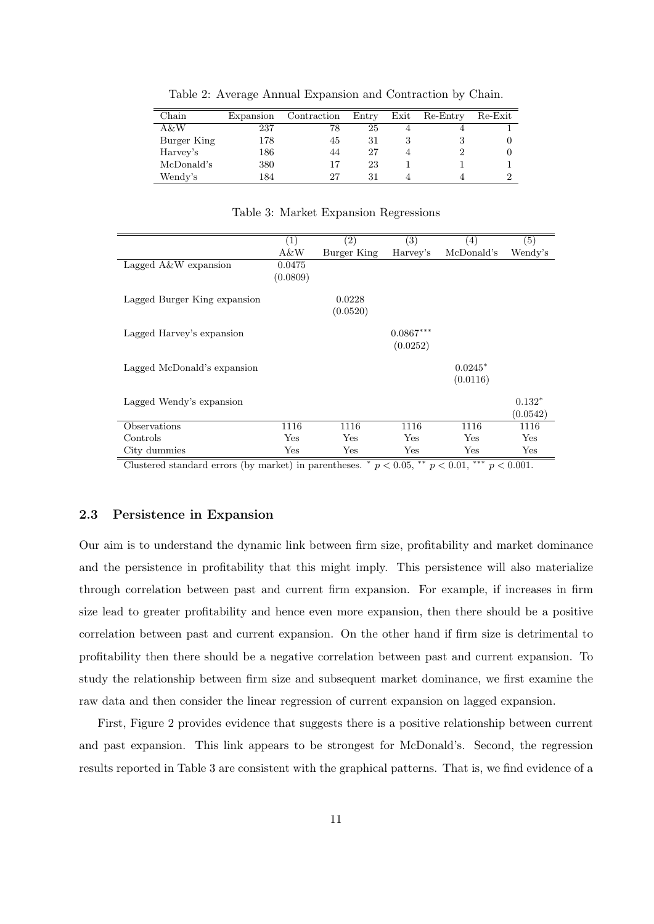| Chain       | Expansion | Contraction | Entry | Exit | Re-Entry | Re-Exit |
|-------------|-----------|-------------|-------|------|----------|---------|
| A&W         | 237       | 78          | 25    | 4    |          |         |
| Burger King | 178       | 45          | 31    | 3    |          |         |
| Harvey's    | 186       | 44          | 27    |      |          |         |
| McDonald's  | 380       | 17          | 23    |      |          |         |
| Wendy's     | 184       | 27          | 31    |      |          |         |

Table 2: Average Annual Expansion and Contraction by Chain.

Table 3: Market Expansion Regressions

|                              | (1)      | (2)          | (3)         | $\left( 4\right)$ | (5)      |
|------------------------------|----------|--------------|-------------|-------------------|----------|
|                              | A&W      | Burger King  | Harvey's    | McDonald's        | Wendy's  |
| Lagged $A\&W$ expansion      | 0.0475   |              |             |                   |          |
|                              | (0.0809) |              |             |                   |          |
|                              |          |              |             |                   |          |
| Lagged Burger King expansion |          | 0.0228       |             |                   |          |
|                              |          | (0.0520)     |             |                   |          |
| Lagged Harvey's expansion    |          |              | $0.0867***$ |                   |          |
|                              |          |              |             |                   |          |
|                              |          |              | (0.0252)    |                   |          |
| Lagged McDonald's expansion  |          |              |             | $0.0245*$         |          |
|                              |          |              |             | (0.0116)          |          |
|                              |          |              |             |                   |          |
| Lagged Wendy's expansion     |          |              |             |                   | $0.132*$ |
|                              |          |              |             |                   | (0.0542) |
| Observations                 | 1116     | 1116         | 1116        | 1116              | 1116     |
| Controls                     | Yes      | Yes          | Yes         | Yes               | Yes      |
| City dummies                 | Yes      | $_{\rm Yes}$ | Yes         | Yes               | Yes      |

Clustered standard errors (by market) in parentheses.  $\hat{p}$   $p$  < 0.05,  $\hat{p}$   $\hat{p}$  < 0.01,  $\hat{p}$   $\hat{p}$  < 0.001.

#### **2.3 Persistence in Expansion**

Our aim is to understand the dynamic link between firm size, profitability and market dominance and the persistence in profitability that this might imply. This persistence will also materialize through correlation between past and current firm expansion. For example, if increases in firm size lead to greater profitability and hence even more expansion, then there should be a positive correlation between past and current expansion. On the other hand if firm size is detrimental to profitability then there should be a negative correlation between past and current expansion. To study the relationship between firm size and subsequent market dominance, we first examine the raw data and then consider the linear regression of current expansion on lagged expansion.

First, Figure 2 provides evidence that suggests there is a positive relationship between current and past expansion. This link appears to be strongest for McDonald's. Second, the regression results reported in Table 3 are consistent with the graphical patterns. That is, we find evidence of a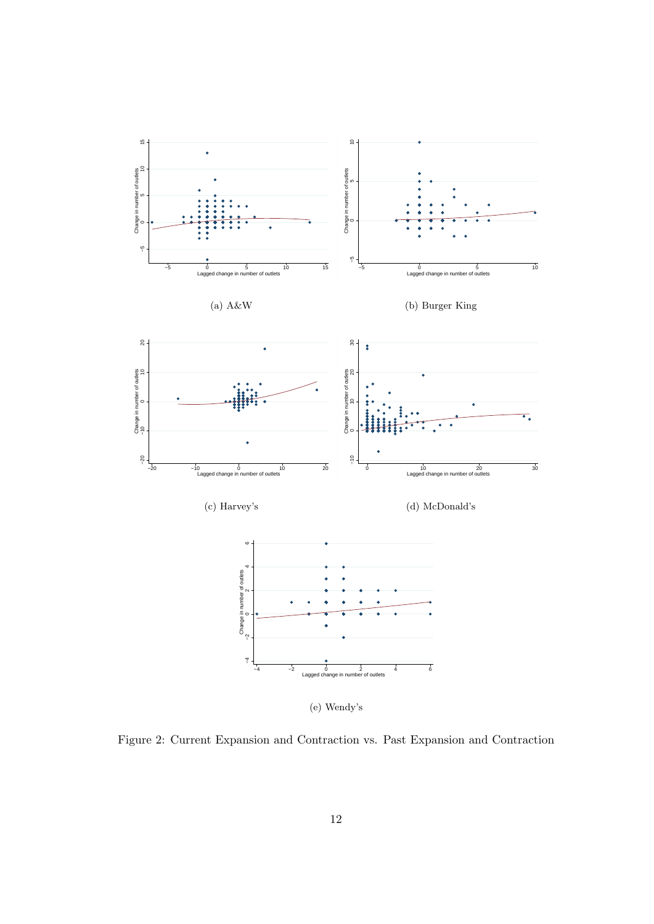

(e) Wendy's

Figure 2: Current Expansion and Contraction vs. Past Expansion and Contraction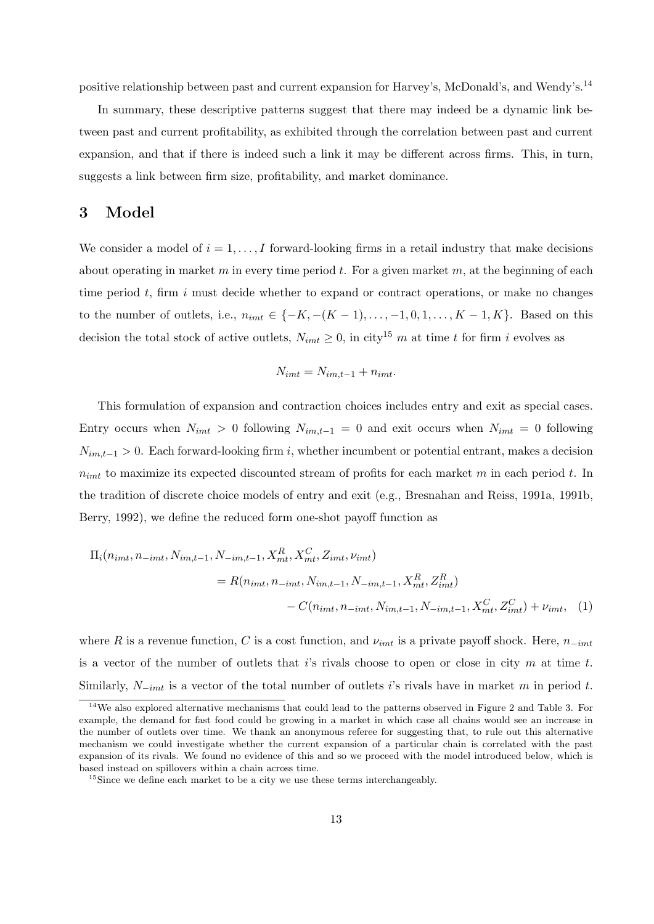positive relationship between past and current expansion for Harvey's, McDonald's, and Wendy's.<sup>14</sup>

In summary, these descriptive patterns suggest that there may indeed be a dynamic link between past and current profitability, as exhibited through the correlation between past and current expansion, and that if there is indeed such a link it may be different across firms. This, in turn, suggests a link between firm size, profitability, and market dominance.

## **3 Model**

We consider a model of  $i = 1, \ldots, I$  forward-looking firms in a retail industry that make decisions about operating in market *m* in every time period *t*. For a given market *m*, at the beginning of each time period *t*, firm *i* must decide whether to expand or contract operations, or make no changes to the number of outlets, i.e.,  $n_{imt}$  ∈ {−*K*, −(*K* − 1), ..., −1, 0, 1, ..., *K* − 1, *K*}. Based on this decision the total stock of active outlets,  $N_{imt} \geq 0$ , in city<sup>15</sup> *m* at time *t* for firm *i* evolves as

$$
N_{imt} = N_{im,t-1} + n_{imt}.
$$

This formulation of expansion and contraction choices includes entry and exit as special cases. Entry occurs when  $N_{imt} > 0$  following  $N_{im,t-1} = 0$  and exit occurs when  $N_{imt} = 0$  following  $N_{im,t-1}$  > 0. Each forward-looking firm *i*, whether incumbent or potential entrant, makes a decision *nimt* to maximize its expected discounted stream of profits for each market *m* in each period *t*. In the tradition of discrete choice models of entry and exit (e.g., Bresnahan and Reiss, 1991a, 1991b, Berry, 1992), we define the reduced form one-shot payoff function as

$$
\Pi_i(n_{imt}, n_{-imt}, N_{im,t-1}, N_{-im,t-1}, X_{mt}^R, X_{mt}^C, Z_{imt}, \nu_{imt})
$$
\n
$$
= R(n_{imt}, n_{-imt}, N_{im,t-1}, N_{-im,t-1}, X_{mt}^R, Z_{imt}^R)
$$
\n
$$
- C(n_{imt}, n_{-imt}, N_{im,t-1}, N_{-im,t-1}, X_{mt}^C, Z_{imt}^C) + \nu_{imt}, \quad (1)
$$

where *R* is a revenue function, *C* is a cost function, and  $\nu_{imt}$  is a private payoff shock. Here,  $n_{-imt}$ is a vector of the number of outlets that *i*'s rivals choose to open or close in city *m* at time *t*. Similarly, *N−imt* is a vector of the total number of outlets *i*'s rivals have in market *m* in period *t*.

<sup>&</sup>lt;sup>14</sup>We also explored alternative mechanisms that could lead to the patterns observed in Figure 2 and Table 3. For example, the demand for fast food could be growing in a market in which case all chains would see an increase in the number of outlets over time. We thank an anonymous referee for suggesting that, to rule out this alternative mechanism we could investigate whether the current expansion of a particular chain is correlated with the past expansion of its rivals. We found no evidence of this and so we proceed with the model introduced below, which is based instead on spillovers within a chain across time.

 $15$ Since we define each market to be a city we use these terms interchangeably.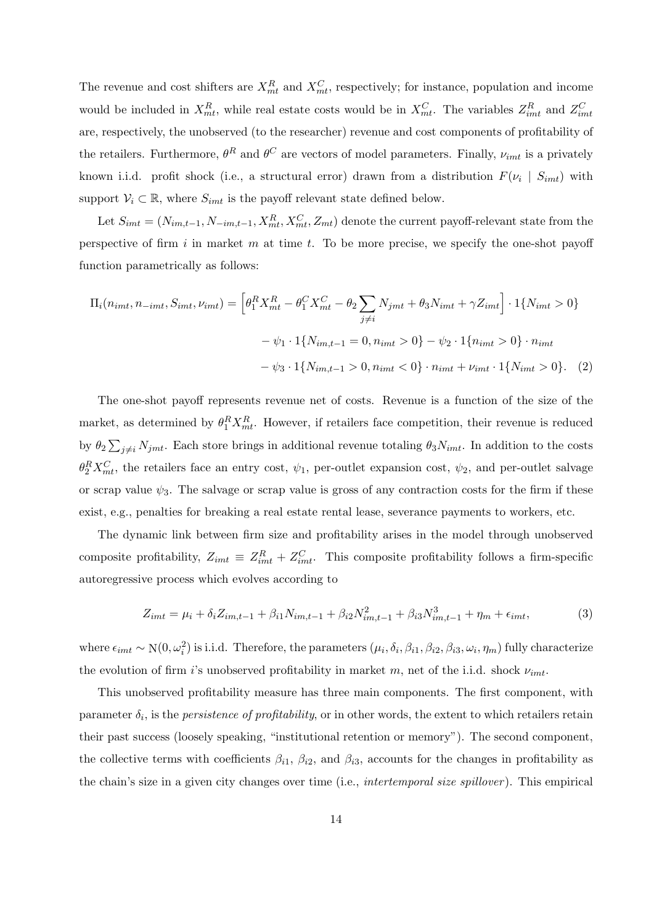The revenue and cost shifters are  $X_{mt}^R$  and  $X_{mt}^C$ , respectively; for instance, population and income would be included in  $X_{mt}^R$ , while real estate costs would be in  $X_{mt}^C$ . The variables  $Z_{imt}^R$  and  $Z_{imt}^C$ are, respectively, the unobserved (to the researcher) revenue and cost components of profitability of the retailers. Furthermore,  $\theta^R$  and  $\theta^C$  are vectors of model parameters. Finally,  $\nu_{imt}$  is a privately known i.i.d. profit shock (i.e., a structural error) drawn from a distribution  $F(\nu_i \mid S_{imt})$  with support  $V_i \subset \mathbb{R}$ , where  $S_{imt}$  is the payoff relevant state defined below.

Let  $S_{imt} = (N_{im,t-1}, N_{-im,t-1}, X_{mt}^R, X_{mt}^C, Z_{mt})$  denote the current payoff-relevant state from the perspective of firm *i* in market *m* at time *t*. To be more precise, we specify the one-shot payoff function parametrically as follows:

$$
\Pi_i(n_{imt}, n_{-imt}, S_{imt}, \nu_{imt}) = \left[ \theta_1^R X_{mt}^R - \theta_1^C X_{mt}^C - \theta_2 \sum_{j \neq i} N_{jmt} + \theta_3 N_{imt} + \gamma Z_{imt} \right] \cdot 1\{N_{imt} > 0\}
$$

$$
-\psi_1 \cdot 1\{N_{im,t-1} = 0, n_{imt} > 0\} - \psi_2 \cdot 1\{n_{imt} > 0\} \cdot n_{imt}
$$

$$
-\psi_3 \cdot 1\{N_{im,t-1} > 0, n_{imt} < 0\} \cdot n_{imt} + \nu_{imt} \cdot 1\{N_{imt} > 0\}. \tag{2}
$$

The one-shot payoff represents revenue net of costs. Revenue is a function of the size of the market, as determined by  $\theta_1^R X_{mt}^R$ . However, if retailers face competition, their revenue is reduced by  $\theta_2 \sum_{j \neq i} N_{jmt}$ . Each store brings in additional revenue totaling  $\theta_3 N_{imt}$ . In addition to the costs  $\theta_2^R X_{mt}^C$ , the retailers face an entry cost,  $\psi_1$ , per-outlet expansion cost,  $\psi_2$ , and per-outlet salvage or scrap value  $\psi_3$ . The salvage or scrap value is gross of any contraction costs for the firm if these exist, e.g., penalties for breaking a real estate rental lease, severance payments to workers, etc.

The dynamic link between firm size and profitability arises in the model through unobserved composite profitability,  $Z_{imt} \equiv Z_{imt}^R + Z_{imt}^C$ . This composite profitability follows a firm-specific autoregressive process which evolves according to

$$
Z_{imt} = \mu_i + \delta_i Z_{im,t-1} + \beta_{i1} N_{im,t-1} + \beta_{i2} N_{im,t-1}^2 + \beta_{i3} N_{im,t-1}^3 + \eta_m + \epsilon_{imt},\tag{3}
$$

where  $\epsilon_{imt} \sim N(0, \omega_i^2)$  is i.i.d. Therefore, the parameters  $(\mu_i, \delta_i, \beta_{i1}, \beta_{i2}, \beta_{i3}, \omega_i, \eta_m)$  fully characterize the evolution of firm *i*'s unobserved profitability in market *m*, net of the i.i.d. shock *νimt*.

This unobserved profitability measure has three main components. The first component, with parameter  $\delta_i$ , is the *persistence of profitability*, or in other words, the extent to which retailers retain their past success (loosely speaking, "institutional retention or memory"). The second component, the collective terms with coefficients  $\beta_{i1}$ ,  $\beta_{i2}$ , and  $\beta_{i3}$ , accounts for the changes in profitability as the chain's size in a given city changes over time (i.e., *intertemporal size spillover* ). This empirical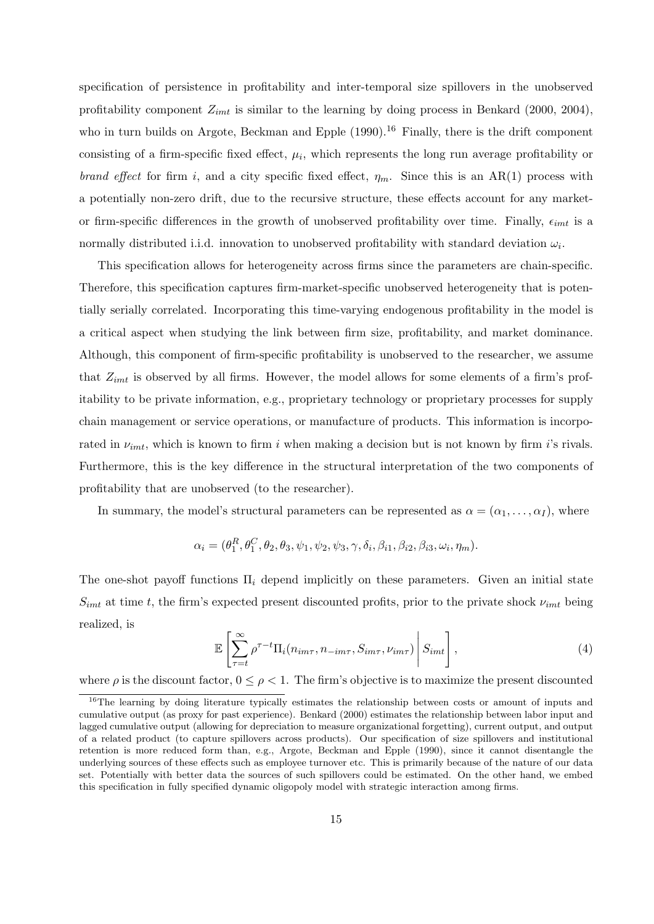specification of persistence in profitability and inter-temporal size spillovers in the unobserved profitability component  $Z_{imt}$  is similar to the learning by doing process in Benkard (2000, 2004), who in turn builds on Argote, Beckman and Epple  $(1990)$ .<sup>16</sup> Finally, there is the drift component consisting of a firm-specific fixed effect,  $\mu_i$ , which represents the long run average profitability or *brand effect* for firm *i*, and a city specific fixed effect,  $\eta_m$ . Since this is an AR(1) process with a potentially non-zero drift, due to the recursive structure, these effects account for any marketor firm-specific differences in the growth of unobserved profitability over time. Finally,  $\epsilon_{imt}$  is a normally distributed i.i.d. innovation to unobserved profitability with standard deviation  $\omega_i$ .

This specification allows for heterogeneity across firms since the parameters are chain-specific. Therefore, this specification captures firm-market-specific unobserved heterogeneity that is potentially serially correlated. Incorporating this time-varying endogenous profitability in the model is a critical aspect when studying the link between firm size, profitability, and market dominance. Although, this component of firm-specific profitability is unobserved to the researcher, we assume that *Zimt* is observed by all firms. However, the model allows for some elements of a firm's profitability to be private information, e.g., proprietary technology or proprietary processes for supply chain management or service operations, or manufacture of products. This information is incorporated in *νimt*, which is known to firm *i* when making a decision but is not known by firm *i*'s rivals. Furthermore, this is the key difference in the structural interpretation of the two components of profitability that are unobserved (to the researcher).

In summary, the model's structural parameters can be represented as  $\alpha = (\alpha_1, \ldots, \alpha_I)$ , where

$$
\alpha_i = (\theta_1^R, \theta_1^C, \theta_2, \theta_3, \psi_1, \psi_2, \psi_3, \gamma, \delta_i, \beta_{i1}, \beta_{i2}, \beta_{i3}, \omega_i, \eta_m).
$$

The one-shot payoff functions Π*<sup>i</sup>* depend implicitly on these parameters. Given an initial state  $S_{imt}$  at time *t*, the firm's expected present discounted profits, prior to the private shock  $\nu_{imt}$  being realized, is

$$
\mathbb{E}\left[\sum_{\tau=t}^{\infty}\rho^{\tau-t}\Pi_i(n_{im\tau}, n_{-im\tau}, S_{im\tau}, \nu_{im\tau})\middle|S_{imt}\right],\tag{4}
$$

where  $\rho$  is the discount factor,  $0 \leq \rho < 1$ . The firm's objective is to maximize the present discounted

<sup>&</sup>lt;sup>16</sup>The learning by doing literature typically estimates the relationship between costs or amount of inputs and cumulative output (as proxy for past experience). Benkard (2000) estimates the relationship between labor input and lagged cumulative output (allowing for depreciation to measure organizational forgetting), current output, and output of a related product (to capture spillovers across products). Our specification of size spillovers and institutional retention is more reduced form than, e.g., Argote, Beckman and Epple (1990), since it cannot disentangle the underlying sources of these effects such as employee turnover etc. This is primarily because of the nature of our data set. Potentially with better data the sources of such spillovers could be estimated. On the other hand, we embed this specification in fully specified dynamic oligopoly model with strategic interaction among firms.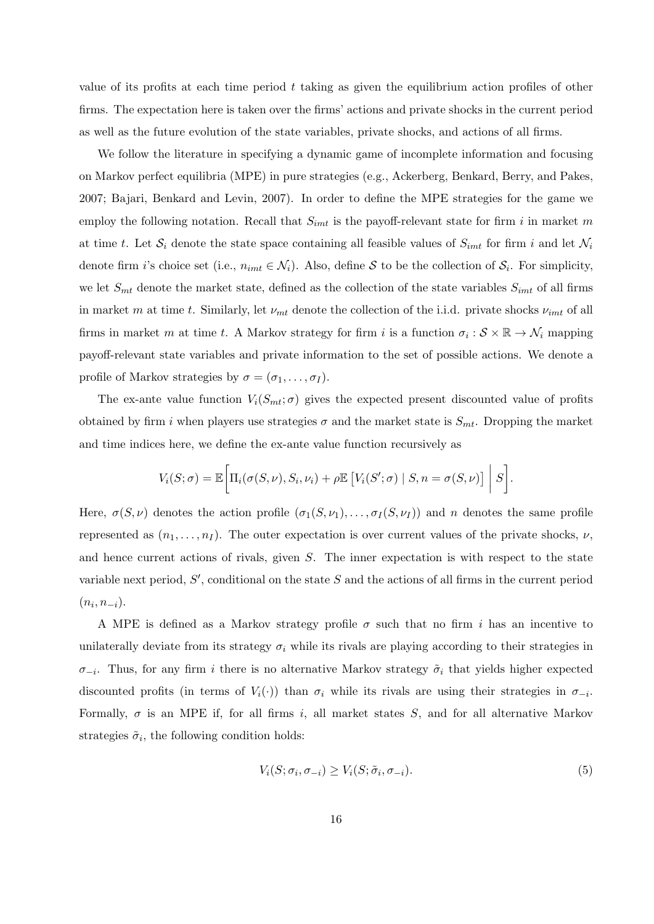value of its profits at each time period *t* taking as given the equilibrium action profiles of other firms. The expectation here is taken over the firms' actions and private shocks in the current period as well as the future evolution of the state variables, private shocks, and actions of all firms.

We follow the literature in specifying a dynamic game of incomplete information and focusing on Markov perfect equilibria (MPE) in pure strategies (e.g., Ackerberg, Benkard, Berry, and Pakes, 2007; Bajari, Benkard and Levin, 2007). In order to define the MPE strategies for the game we employ the following notation. Recall that *Simt* is the payoff-relevant state for firm *i* in market *m* at time *t*. Let  $S_i$  denote the state space containing all feasible values of  $S_{imt}$  for firm *i* and let  $\mathcal{N}_i$ denote firm *i*'s choice set (i.e.,  $n_{imt} \in \mathcal{N}_i$ ). Also, define *S* to be the collection of  $\mathcal{S}_i$ . For simplicity, we let  $S_{mt}$  denote the market state, defined as the collection of the state variables  $S_{imt}$  of all firms in market *m* at time *t*. Similarly, let *νmt* denote the collection of the i.i.d. private shocks *νimt* of all firms in market *m* at time *t*. A Markov strategy for firm *i* is a function  $\sigma_i : \mathcal{S} \times \mathbb{R} \to \mathcal{N}_i$  mapping payoff-relevant state variables and private information to the set of possible actions. We denote a profile of Markov strategies by  $\sigma = (\sigma_1, \ldots, \sigma_I)$ .

The ex-ante value function  $V_i(S_{mt}; \sigma)$  gives the expected present discounted value of profits obtained by firm *i* when players use strategies  $\sigma$  and the market state is  $S_{mt}$ . Dropping the market and time indices here, we define the ex-ante value function recursively as

$$
V_i(S; \sigma) = \mathbb{E}\bigg[\Pi_i(\sigma(S, \nu), S_i, \nu_i) + \rho \mathbb{E}\big[V_i(S'; \sigma) \mid S, n = \sigma(S, \nu)\big] \mid S\bigg].
$$

Here,  $\sigma(S, \nu)$  denotes the action profile  $(\sigma_1(S, \nu_1), \ldots, \sigma_I(S, \nu_I))$  and *n* denotes the same profile represented as  $(n_1, \ldots, n_I)$ . The outer expectation is over current values of the private shocks,  $\nu$ , and hence current actions of rivals, given *S*. The inner expectation is with respect to the state variable next period, *S ′* , conditional on the state *S* and the actions of all firms in the current period  $(n_i, n_{-i}).$ 

A MPE is defined as a Markov strategy profile  $\sigma$  such that no firm *i* has an incentive to unilaterally deviate from its strategy  $\sigma_i$  while its rivals are playing according to their strategies in  $\sigma_{-i}$ . Thus, for any firm *i* there is no alternative Markov strategy  $\tilde{\sigma}_i$  that yields higher expected discounted profits (in terms of  $V_i(\cdot)$ ) than  $\sigma_i$  while its rivals are using their strategies in  $\sigma_{-i}$ . Formally,  $\sigma$  is an MPE if, for all firms *i*, all market states *S*, and for all alternative Markov strategies  $\tilde{\sigma}_i$ , the following condition holds:

$$
V_i(S; \sigma_i, \sigma_{-i}) \ge V_i(S; \tilde{\sigma}_i, \sigma_{-i}).
$$
\n<sup>(5)</sup>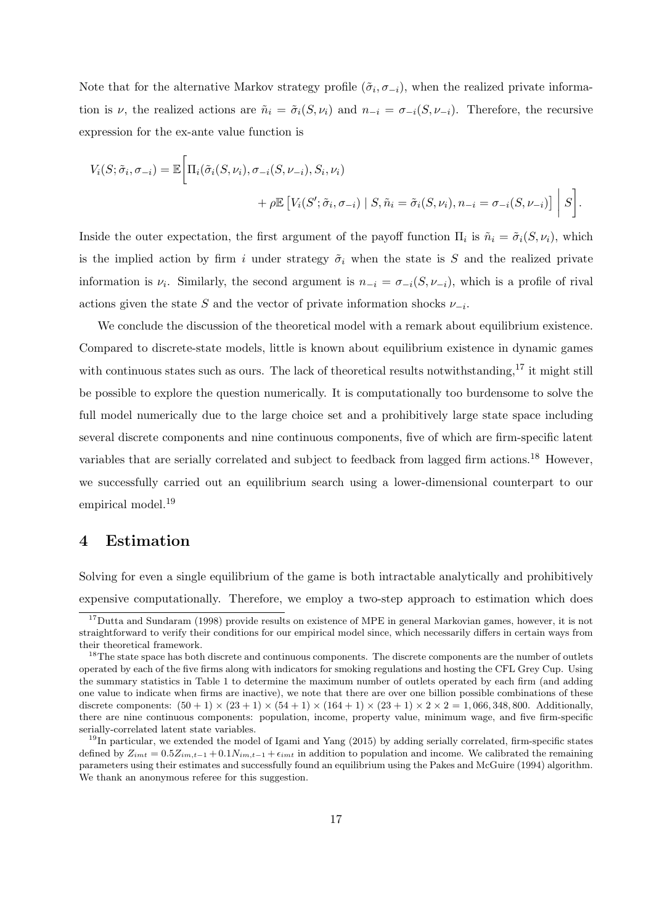Note that for the alternative Markov strategy profile  $(\tilde{\sigma}_i, \sigma_{-i})$ , when the realized private information is *ν*, the realized actions are  $\tilde{n}_i = \tilde{\sigma}_i(S, \nu_i)$  and  $n_{-i} = \sigma_{-i}(S, \nu_{-i})$ . Therefore, the recursive expression for the ex-ante value function is

$$
V_i(S; \tilde{\sigma}_i, \sigma_{-i}) = \mathbb{E} \bigg[ \Pi_i(\tilde{\sigma}_i(S, \nu_i), \sigma_{-i}(S, \nu_{-i}), S_i, \nu_i) + \rho \mathbb{E} \left[ V_i(S'; \tilde{\sigma}_i, \sigma_{-i}) \mid S, \tilde{n}_i = \tilde{\sigma}_i(S, \nu_i), n_{-i} = \sigma_{-i}(S, \nu_{-i}) \right] \bigg| S \bigg].
$$

Inside the outer expectation, the first argument of the payoff function  $\Pi_i$  is  $\tilde{n}_i = \tilde{\sigma}_i(S, \nu_i)$ , which is the implied action by firm *i* under strategy  $\tilde{\sigma}_i$  when the state is *S* and the realized private information is  $\nu_i$ . Similarly, the second argument is  $n_{-i} = \sigma_{-i}(S, \nu_{-i})$ , which is a profile of rival actions given the state *S* and the vector of private information shocks  $\nu_{-i}$ .

We conclude the discussion of the theoretical model with a remark about equilibrium existence. Compared to discrete-state models, little is known about equilibrium existence in dynamic games with continuous states such as ours. The lack of theoretical results notwithstanding, $^{17}$  it might still be possible to explore the question numerically. It is computationally too burdensome to solve the full model numerically due to the large choice set and a prohibitively large state space including several discrete components and nine continuous components, five of which are firm-specific latent variables that are serially correlated and subject to feedback from lagged firm actions.<sup>18</sup> However, we successfully carried out an equilibrium search using a lower-dimensional counterpart to our empirical model.<sup>19</sup>

### **4 Estimation**

Solving for even a single equilibrium of the game is both intractable analytically and prohibitively expensive computationally. Therefore, we employ a two-step approach to estimation which does

<sup>&</sup>lt;sup>17</sup>Dutta and Sundaram (1998) provide results on existence of MPE in general Markovian games, however, it is not straightforward to verify their conditions for our empirical model since, which necessarily differs in certain ways from their theoretical framework.

<sup>&</sup>lt;sup>18</sup>The state space has both discrete and continuous components. The discrete components are the number of outlets operated by each of the five firms along with indicators for smoking regulations and hosting the CFL Grey Cup. Using the summary statistics in Table 1 to determine the maximum number of outlets operated by each firm (and adding one value to indicate when firms are inactive), we note that there are over one billion possible combinations of these discrete components:  $(50 + 1) \times (23 + 1) \times (54 + 1) \times (164 + 1) \times (23 + 1) \times 2 \times 2 = 1,066,348,800.$  Additionally, there are nine continuous components: population, income, property value, minimum wage, and five firm-specific serially-correlated latent state variables.

 $19$ In particular, we extended the model of Igami and Yang (2015) by adding serially correlated, firm-specific states defined by  $Z_{imt} = 0.5Z_{im,t-1} + 0.1N_{im,t-1} + \epsilon_{imt}$  in addition to population and income. We calibrated the remaining parameters using their estimates and successfully found an equilibrium using the Pakes and McGuire (1994) algorithm. We thank an anonymous referee for this suggestion.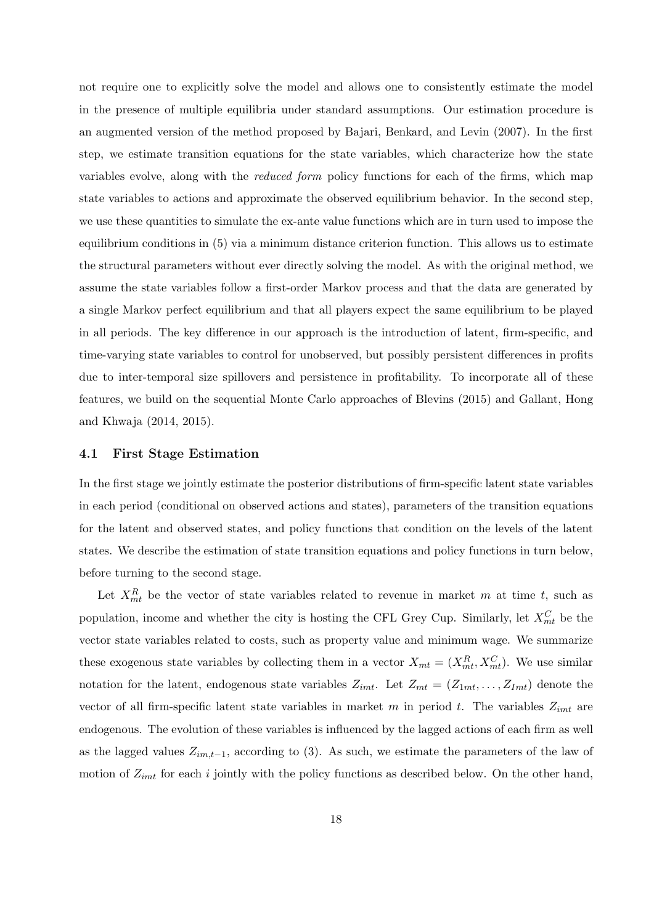not require one to explicitly solve the model and allows one to consistently estimate the model in the presence of multiple equilibria under standard assumptions. Our estimation procedure is an augmented version of the method proposed by Bajari, Benkard, and Levin (2007). In the first step, we estimate transition equations for the state variables, which characterize how the state variables evolve, along with the *reduced form* policy functions for each of the firms, which map state variables to actions and approximate the observed equilibrium behavior. In the second step, we use these quantities to simulate the ex-ante value functions which are in turn used to impose the equilibrium conditions in (5) via a minimum distance criterion function. This allows us to estimate the structural parameters without ever directly solving the model. As with the original method, we assume the state variables follow a first-order Markov process and that the data are generated by a single Markov perfect equilibrium and that all players expect the same equilibrium to be played in all periods. The key difference in our approach is the introduction of latent, firm-specific, and time-varying state variables to control for unobserved, but possibly persistent differences in profits due to inter-temporal size spillovers and persistence in profitability. To incorporate all of these features, we build on the sequential Monte Carlo approaches of Blevins (2015) and Gallant, Hong and Khwaja (2014, 2015).

#### **4.1 First Stage Estimation**

In the first stage we jointly estimate the posterior distributions of firm-specific latent state variables in each period (conditional on observed actions and states), parameters of the transition equations for the latent and observed states, and policy functions that condition on the levels of the latent states. We describe the estimation of state transition equations and policy functions in turn below, before turning to the second stage.

Let  $X_{mt}^R$  be the vector of state variables related to revenue in market *m* at time *t*, such as population, income and whether the city is hosting the CFL Grey Cup. Similarly, let  $X_{mt}^C$  be the vector state variables related to costs, such as property value and minimum wage. We summarize these exogenous state variables by collecting them in a vector  $X_{mt} = (X_{mt}^R, X_{mt}^C)$ . We use similar notation for the latent, endogenous state variables  $Z_{imt}$ . Let  $Z_{mt} = (Z_{1mt}, \ldots, Z_{1mt})$  denote the vector of all firm-specific latent state variables in market *m* in period *t*. The variables *Zimt* are endogenous. The evolution of these variables is influenced by the lagged actions of each firm as well as the lagged values *Zim,t−*1, according to (3). As such, we estimate the parameters of the law of motion of  $Z_{imt}$  for each *i* jointly with the policy functions as described below. On the other hand,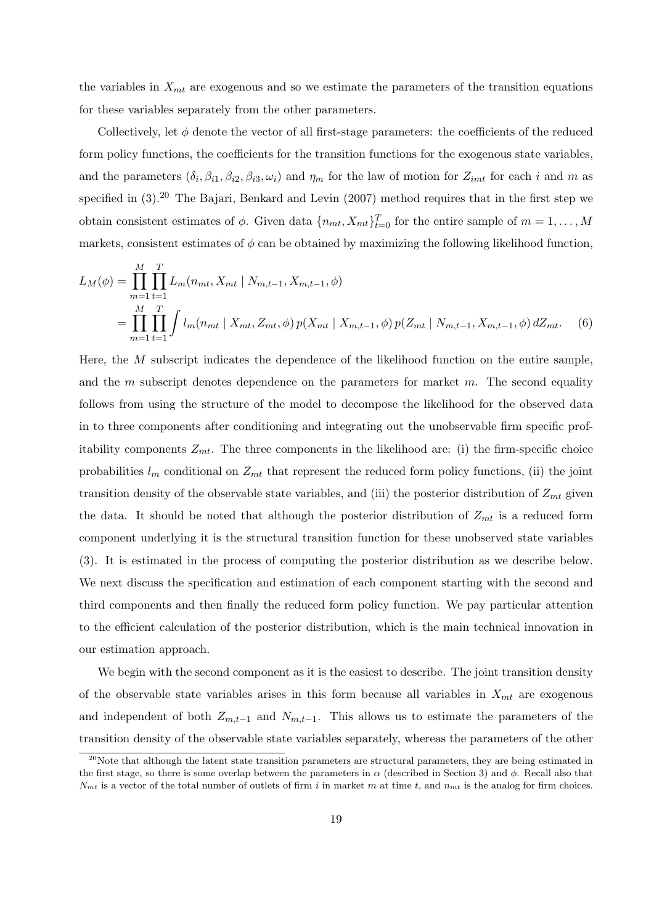the variables in *Xmt* are exogenous and so we estimate the parameters of the transition equations for these variables separately from the other parameters.

Collectively, let *ϕ* denote the vector of all first-stage parameters: the coefficients of the reduced form policy functions, the coefficients for the transition functions for the exogenous state variables, and the parameters  $(\delta_i, \beta_{i1}, \beta_{i2}, \beta_{i3}, \omega_i)$  and  $\eta_m$  for the law of motion for  $Z_{imt}$  for each *i* and *m* as specified in  $(3)$ .<sup>20</sup> The Bajari, Benkard and Levin  $(2007)$  method requires that in the first step we obtain consistent estimates of  $\phi$ . Given data  $\{n_{mt}, X_{mt}\}_{t=0}^T$  for the entire sample of  $m = 1, \ldots, M$ markets, consistent estimates of  $\phi$  can be obtained by maximizing the following likelihood function,

$$
L_M(\phi) = \prod_{m=1}^M \prod_{t=1}^T L_m(n_{mt}, X_{mt} \mid N_{m,t-1}, X_{m,t-1}, \phi)
$$
  
= 
$$
\prod_{m=1}^M \prod_{t=1}^T \int l_m(n_{mt} \mid X_{mt}, Z_{mt}, \phi) p(X_{mt} \mid X_{m,t-1}, \phi) p(Z_{mt} \mid N_{m,t-1}, X_{m,t-1}, \phi) dZ_{mt}.
$$
 (6)

Here, the *M* subscript indicates the dependence of the likelihood function on the entire sample, and the *m* subscript denotes dependence on the parameters for market *m*. The second equality follows from using the structure of the model to decompose the likelihood for the observed data in to three components after conditioning and integrating out the unobservable firm specific profitability components  $Z_{mt}$ . The three components in the likelihood are: (i) the firm-specific choice probabilities  $l_m$  conditional on  $Z_{mt}$  that represent the reduced form policy functions, (ii) the joint transition density of the observable state variables, and (iii) the posterior distribution of *Zmt* given the data. It should be noted that although the posterior distribution of  $Z_{mt}$  is a reduced form component underlying it is the structural transition function for these unobserved state variables (3). It is estimated in the process of computing the posterior distribution as we describe below. We next discuss the specification and estimation of each component starting with the second and third components and then finally the reduced form policy function. We pay particular attention to the efficient calculation of the posterior distribution, which is the main technical innovation in our estimation approach.

We begin with the second component as it is the easiest to describe. The joint transition density of the observable state variables arises in this form because all variables in *Xmt* are exogenous and independent of both  $Z_{m,t-1}$  and  $N_{m,t-1}$ . This allows us to estimate the parameters of the transition density of the observable state variables separately, whereas the parameters of the other

 $^{20}$ Note that although the latent state transition parameters are structural parameters, they are being estimated in the first stage, so there is some overlap between the parameters in *α* (described in Section 3) and *ϕ*. Recall also that  $N<sub>mt</sub>$  is a vector of the total number of outlets of firm *i* in market *m* at time *t*, and  $n<sub>mt</sub>$  is the analog for firm choices.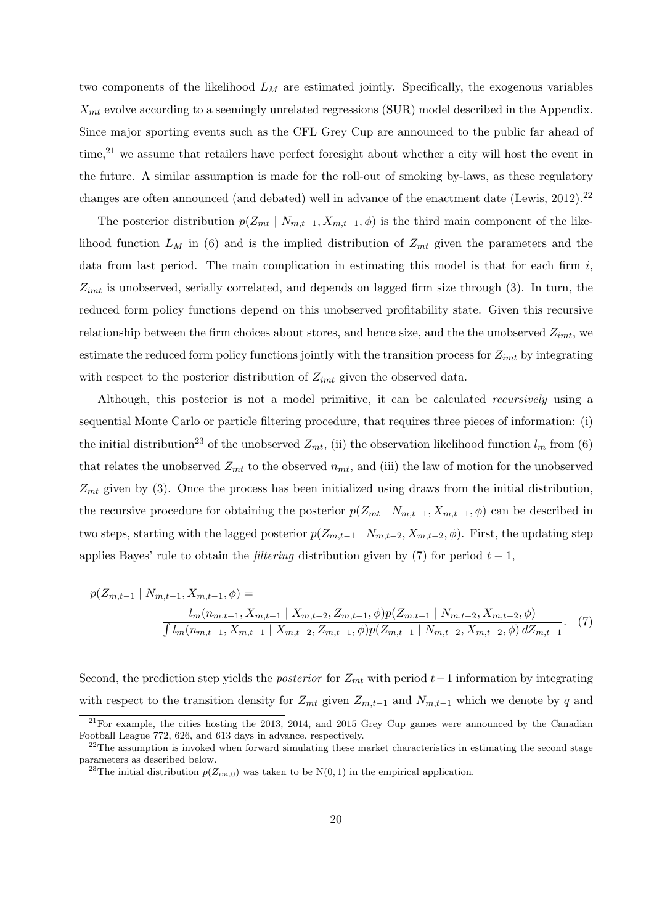two components of the likelihood *L<sup>M</sup>* are estimated jointly. Specifically, the exogenous variables *Xmt* evolve according to a seemingly unrelated regressions (SUR) model described in the Appendix. Since major sporting events such as the CFL Grey Cup are announced to the public far ahead of time,<sup>21</sup> we assume that retailers have perfect foresight about whether a city will host the event in the future. A similar assumption is made for the roll-out of smoking by-laws, as these regulatory changes are often announced (and debated) well in advance of the enactment date (Lewis, 2012).<sup>22</sup>

The posterior distribution  $p(Z_{mt} | N_{m,t-1}, X_{m,t-1}, \phi)$  is the third main component of the likelihood function *L<sup>M</sup>* in (6) and is the implied distribution of *Zmt* given the parameters and the data from last period. The main complication in estimating this model is that for each firm *i*, *Zimt* is unobserved, serially correlated, and depends on lagged firm size through (3). In turn, the reduced form policy functions depend on this unobserved profitability state. Given this recursive relationship between the firm choices about stores, and hence size, and the the unobserved *Zimt*, we estimate the reduced form policy functions jointly with the transition process for *Zimt* by integrating with respect to the posterior distribution of *Zimt* given the observed data.

Although, this posterior is not a model primitive, it can be calculated *recursively* using a sequential Monte Carlo or particle filtering procedure, that requires three pieces of information: (i) the initial distribution<sup>23</sup> of the unobserved  $Z_{mt}$ , (ii) the observation likelihood function  $l_m$  from (6) that relates the unobserved  $Z_{mt}$  to the observed  $n_{mt}$ , and (iii) the law of motion for the unobserved *Zmt* given by (3). Once the process has been initialized using draws from the initial distribution, the recursive procedure for obtaining the posterior  $p(Z_{mt} | N_{m,t-1}, X_{m,t-1}, \phi)$  can be described in two steps, starting with the lagged posterior  $p(Z_{m,t-1} | N_{m,t-2}, X_{m,t-2}, \phi)$ . First, the updating step applies Bayes' rule to obtain the *filtering* distribution given by (7) for period *t −* 1,

$$
p(Z_{m,t-1} \mid N_{m,t-1}, X_{m,t-1}, \phi) =
$$
  
\n
$$
\frac{l_m(n_{m,t-1}, X_{m,t-1} \mid X_{m,t-2}, Z_{m,t-1}, \phi) p(Z_{m,t-1} \mid N_{m,t-2}, X_{m,t-2}, \phi)}{\int l_m(n_{m,t-1}, X_{m,t-1} \mid X_{m,t-2}, Z_{m,t-1}, \phi) p(Z_{m,t-1} \mid N_{m,t-2}, X_{m,t-2}, \phi) dZ_{m,t-1}}.
$$
 (7)

Second, the prediction step yields the *posterior* for *Zmt* with period *t−*1 information by integrating with respect to the transition density for  $Z_{mt}$  given  $Z_{m,t-1}$  and  $N_{m,t-1}$  which we denote by q and

 $21$ For example, the cities hosting the 2013, 2014, and 2015 Grey Cup games were announced by the Canadian Football League 772, 626, and 613 days in advance, respectively.

 $^{22}$ The assumption is invoked when forward simulating these market characteristics in estimating the second stage parameters as described below.

<sup>&</sup>lt;sup>23</sup>The initial distribution  $p(Z_{im,0})$  was taken to be  $N(0,1)$  in the empirical application.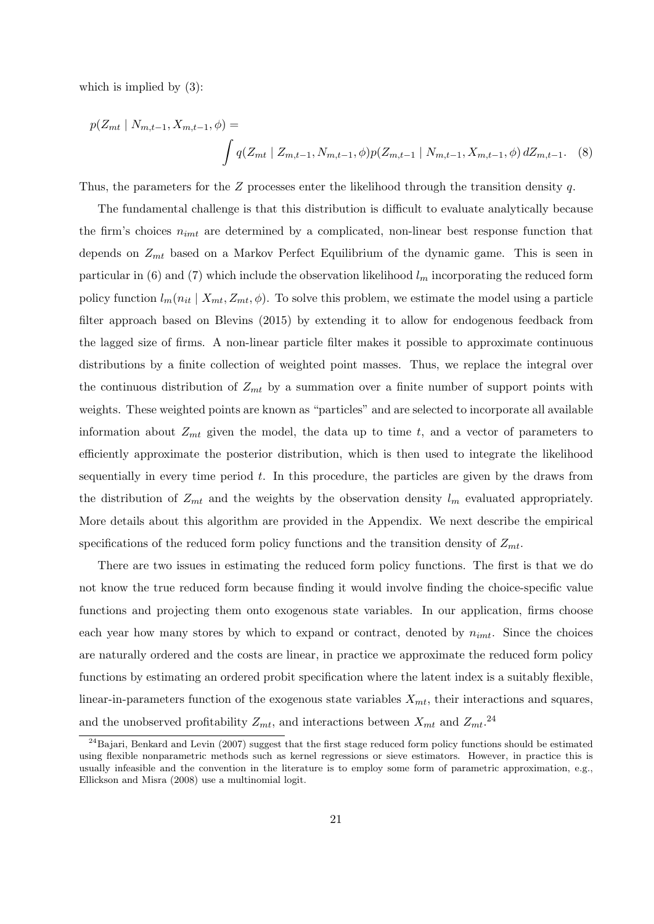which is implied by  $(3)$ :

$$
p(Z_{mt} \mid N_{m,t-1}, X_{m,t-1}, \phi) = \int q(Z_{mt} \mid Z_{m,t-1}, N_{m,t-1}, \phi) p(Z_{m,t-1} \mid N_{m,t-1}, X_{m,t-1}, \phi) dZ_{m,t-1}.
$$
 (8)

Thus, the parameters for the *Z* processes enter the likelihood through the transition density *q*.

The fundamental challenge is that this distribution is difficult to evaluate analytically because the firm's choices *nimt* are determined by a complicated, non-linear best response function that depends on *Zmt* based on a Markov Perfect Equilibrium of the dynamic game. This is seen in particular in (6) and (7) which include the observation likelihood  $l_m$  incorporating the reduced form policy function  $l_m(n_{it} | X_{mt}, Z_{mt}, \phi)$ . To solve this problem, we estimate the model using a particle filter approach based on Blevins (2015) by extending it to allow for endogenous feedback from the lagged size of firms. A non-linear particle filter makes it possible to approximate continuous distributions by a finite collection of weighted point masses. Thus, we replace the integral over the continuous distribution of *Zmt* by a summation over a finite number of support points with weights. These weighted points are known as "particles" and are selected to incorporate all available information about *Zmt* given the model, the data up to time *t*, and a vector of parameters to efficiently approximate the posterior distribution, which is then used to integrate the likelihood sequentially in every time period *t*. In this procedure, the particles are given by the draws from the distribution of  $Z_{mt}$  and the weights by the observation density  $l_m$  evaluated appropriately. More details about this algorithm are provided in the Appendix. We next describe the empirical specifications of the reduced form policy functions and the transition density of *Zmt*.

There are two issues in estimating the reduced form policy functions. The first is that we do not know the true reduced form because finding it would involve finding the choice-specific value functions and projecting them onto exogenous state variables. In our application, firms choose each year how many stores by which to expand or contract, denoted by *nimt*. Since the choices are naturally ordered and the costs are linear, in practice we approximate the reduced form policy functions by estimating an ordered probit specification where the latent index is a suitably flexible, linear-in-parameters function of the exogenous state variables *Xmt*, their interactions and squares, and the unobserved profitability  $Z_{mt}$ , and interactions between  $X_{mt}$  and  $Z_{mt}$ <sup>24</sup>

 $^{24}$ Bajari, Benkard and Levin (2007) suggest that the first stage reduced form policy functions should be estimated using flexible nonparametric methods such as kernel regressions or sieve estimators. However, in practice this is usually infeasible and the convention in the literature is to employ some form of parametric approximation, e.g., Ellickson and Misra (2008) use a multinomial logit.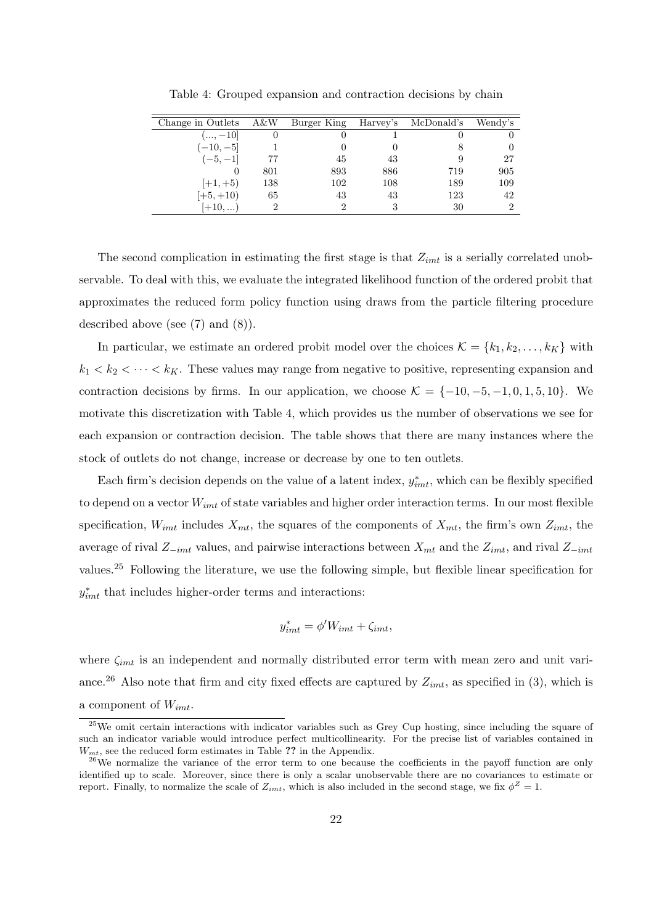| Change in Outlets | A&W | Burger King | Harvey's | McDonald's | Wendy's |
|-------------------|-----|-------------|----------|------------|---------|
| $(,-10]$          |     |             |          |            |         |
| $(-10,-5]$        |     |             |          | 8          |         |
| $(-5,-1]$         | 77  | 45          | 43       | 9          | 27      |
|                   | 801 | 893         | 886      | 719        | 905     |
| $[+1, +5)$        | 138 | 102         | 108      | 189        | 109     |
| $[+5,+10)$        | 65  | 43          | 43       | 123        | 42      |
| $[+10,)$          |     |             |          | 30         | 2       |

Table 4: Grouped expansion and contraction decisions by chain

The second complication in estimating the first stage is that *Zimt* is a serially correlated unobservable. To deal with this, we evaluate the integrated likelihood function of the ordered probit that approximates the reduced form policy function using draws from the particle filtering procedure described above (see (7) and (8)).

In particular, we estimate an ordered probit model over the choices  $\mathcal{K} = \{k_1, k_2, \ldots, k_K\}$  with  $k_1 < k_2 < \cdots < k_K$ . These values may range from negative to positive, representing expansion and contraction decisions by firms. In our application, we choose  $K = \{-10, -5, -1, 0, 1, 5, 10\}$ . We motivate this discretization with Table 4, which provides us the number of observations we see for each expansion or contraction decision. The table shows that there are many instances where the stock of outlets do not change, increase or decrease by one to ten outlets.

Each firm's decision depends on the value of a latent index,  $y_{imt}^*$ , which can be flexibly specified to depend on a vector *Wimt* of state variables and higher order interaction terms. In our most flexible specification,  $W_{imt}$  includes  $X_{mt}$ , the squares of the components of  $X_{mt}$ , the firm's own  $Z_{imt}$ , the average of rival *Z−imt* values, and pairwise interactions between *Xmt* and the *Zimt*, and rival *Z−imt* values.<sup>25</sup> Following the literature, we use the following simple, but flexible linear specification for  $y_{imt}^*$  that includes higher-order terms and interactions:

$$
y_{imt}^* = \phi' W_{imt} + \zeta_{imt},
$$

where *ζimt* is an independent and normally distributed error term with mean zero and unit variance.<sup>26</sup> Also note that firm and city fixed effects are captured by  $Z_{imt}$ , as specified in (3), which is a component of *Wimt*.

 $25$ We omit certain interactions with indicator variables such as Grey Cup hosting, since including the square of such an indicator variable would introduce perfect multicollinearity. For the precise list of variables contained in *Wmt*, see the reduced form estimates in Table **??** in the Appendix.

 $26$ We normalize the variance of the error term to one because the coefficients in the payoff function are only identified up to scale. Moreover, since there is only a scalar unobservable there are no covariances to estimate or report. Finally, to normalize the scale of  $Z_{imt}$ , which is also included in the second stage, we fix  $\phi^Z = 1$ .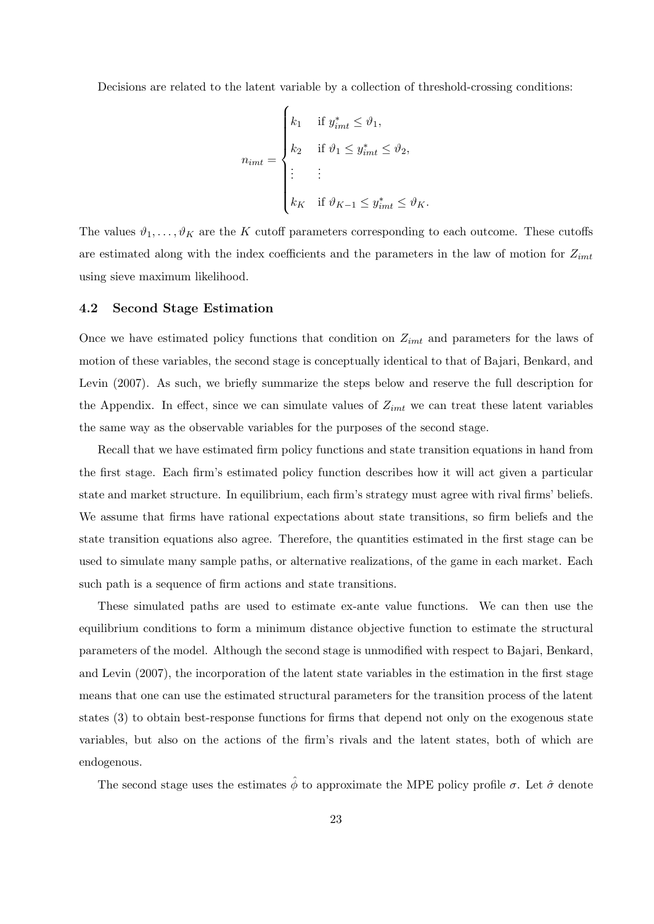Decisions are related to the latent variable by a collection of threshold-crossing conditions:

$$
n_{imt} = \begin{cases} k_1 & \text{if } y_{imt}^* \leq \vartheta_1, \\ k_2 & \text{if } \vartheta_1 \leq y_{imt}^* \leq \vartheta_2, \\ \vdots & \vdots \\ k_K & \text{if } \vartheta_{K-1} \leq y_{imt}^* \leq \vartheta_K. \end{cases}
$$

The values  $\vartheta_1, \ldots, \vartheta_K$  are the *K* cutoff parameters corresponding to each outcome. These cutoffs are estimated along with the index coefficients and the parameters in the law of motion for *Zimt* using sieve maximum likelihood.

#### **4.2 Second Stage Estimation**

Once we have estimated policy functions that condition on *Zimt* and parameters for the laws of motion of these variables, the second stage is conceptually identical to that of Bajari, Benkard, and Levin (2007). As such, we briefly summarize the steps below and reserve the full description for the Appendix. In effect, since we can simulate values of *Zimt* we can treat these latent variables the same way as the observable variables for the purposes of the second stage.

Recall that we have estimated firm policy functions and state transition equations in hand from the first stage. Each firm's estimated policy function describes how it will act given a particular state and market structure. In equilibrium, each firm's strategy must agree with rival firms' beliefs. We assume that firms have rational expectations about state transitions, so firm beliefs and the state transition equations also agree. Therefore, the quantities estimated in the first stage can be used to simulate many sample paths, or alternative realizations, of the game in each market. Each such path is a sequence of firm actions and state transitions.

These simulated paths are used to estimate ex-ante value functions. We can then use the equilibrium conditions to form a minimum distance objective function to estimate the structural parameters of the model. Although the second stage is unmodified with respect to Bajari, Benkard, and Levin (2007), the incorporation of the latent state variables in the estimation in the first stage means that one can use the estimated structural parameters for the transition process of the latent states (3) to obtain best-response functions for firms that depend not only on the exogenous state variables, but also on the actions of the firm's rivals and the latent states, both of which are endogenous.

The second stage uses the estimates  $\hat{\phi}$  to approximate the MPE policy profile  $\sigma$ . Let  $\hat{\sigma}$  denote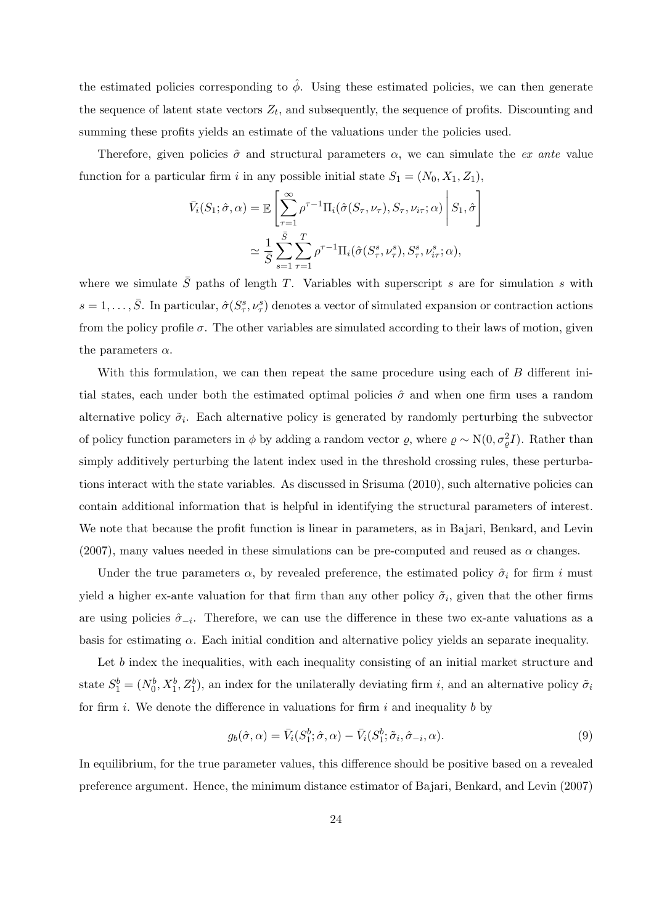the estimated policies corresponding to  $\hat{\phi}$ . Using these estimated policies, we can then generate the sequence of latent state vectors  $Z_t$ , and subsequently, the sequence of profits. Discounting and summing these profits yields an estimate of the valuations under the policies used.

Therefore, given policies  $\hat{\sigma}$  and structural parameters  $\alpha$ , we can simulate the *ex ante* value function for a particular firm *i* in any possible initial state  $S_1 = (N_0, X_1, Z_1)$ ,

$$
\bar{V}_i(S_1; \hat{\sigma}, \alpha) = \mathbb{E}\left[\sum_{\tau=1}^{\infty} \rho^{\tau-1} \Pi_i(\hat{\sigma}(S_{\tau}, \nu_{\tau}), S_{\tau}, \nu_{i\tau}; \alpha)\middle| S_1, \hat{\sigma} \right]
$$

$$
\simeq \frac{1}{\bar{S}} \sum_{s=1}^{\bar{S}} \sum_{\tau=1}^T \rho^{\tau-1} \Pi_i(\hat{\sigma}(S_{\tau}^s, \nu_{\tau}^s), S_{\tau}^s, \nu_{i\tau}^s; \alpha),
$$

where we simulate  $\overline{S}$  paths of length *T*. Variables with superscript *s* are for simulation *s* with  $s = 1, \ldots, \overline{S}$ . In particular,  $\hat{\sigma}(S^s_\tau, \nu^s_\tau)$  denotes a vector of simulated expansion or contraction actions from the policy profile  $\sigma$ . The other variables are simulated according to their laws of motion, given the parameters *α*.

With this formulation, we can then repeat the same procedure using each of *B* different initial states, each under both the estimated optimal policies  $\hat{\sigma}$  and when one firm uses a random alternative policy  $\tilde{\sigma}_i$ . Each alternative policy is generated by randomly perturbing the subvector of policy function parameters in  $\phi$  by adding a random vector  $\varrho$ , where  $\varrho \sim N(0, \sigma_{\varrho}^2 I)$ . Rather than simply additively perturbing the latent index used in the threshold crossing rules, these perturbations interact with the state variables. As discussed in Srisuma (2010), such alternative policies can contain additional information that is helpful in identifying the structural parameters of interest. We note that because the profit function is linear in parameters, as in Bajari, Benkard, and Levin (2007), many values needed in these simulations can be pre-computed and reused as  $\alpha$  changes.

Under the true parameters  $\alpha$ , by revealed preference, the estimated policy  $\hat{\sigma}_i$  for firm *i* must yield a higher ex-ante valuation for that firm than any other policy  $\tilde{\sigma}_i$ , given that the other firms are using policies  $\hat{\sigma}_{-i}$ . Therefore, we can use the difference in these two ex-ante valuations as a basis for estimating *α*. Each initial condition and alternative policy yields an separate inequality.

Let *b* index the inequalities, with each inequality consisting of an initial market structure and state  $S_1^b = (N_0^b, X_1^b, Z_1^b)$ , an index for the unilaterally deviating firm *i*, and an alternative policy  $\tilde{\sigma}_i$ for firm *i*. We denote the difference in valuations for firm *i* and inequality *b* by

$$
g_b(\hat{\sigma}, \alpha) = \bar{V}_i(S_1^b; \hat{\sigma}, \alpha) - \bar{V}_i(S_1^b; \tilde{\sigma}_i, \hat{\sigma}_{-i}, \alpha).
$$
\n(9)

In equilibrium, for the true parameter values, this difference should be positive based on a revealed preference argument. Hence, the minimum distance estimator of Bajari, Benkard, and Levin (2007)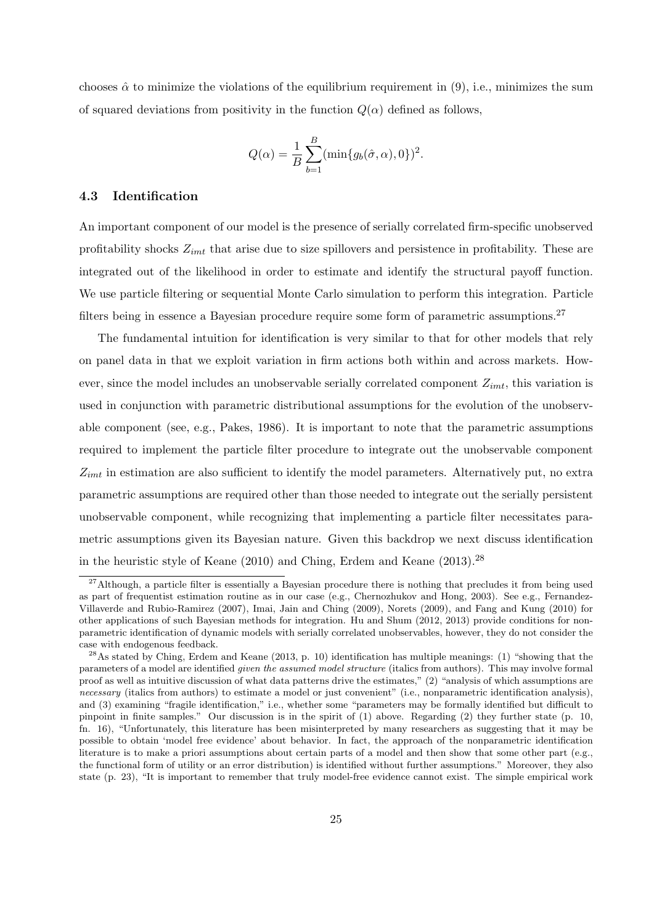chooses  $\hat{\alpha}$  to minimize the violations of the equilibrium requirement in (9), i.e., minimizes the sum of squared deviations from positivity in the function  $Q(\alpha)$  defined as follows,

$$
Q(\alpha) = \frac{1}{B} \sum_{b=1}^{B} (\min\{g_b(\hat{\sigma}, \alpha), 0\})^2.
$$

#### **4.3 Identification**

An important component of our model is the presence of serially correlated firm-specific unobserved profitability shocks *Zimt* that arise due to size spillovers and persistence in profitability. These are integrated out of the likelihood in order to estimate and identify the structural payoff function. We use particle filtering or sequential Monte Carlo simulation to perform this integration. Particle filters being in essence a Bayesian procedure require some form of parametric assumptions.<sup>27</sup>

The fundamental intuition for identification is very similar to that for other models that rely on panel data in that we exploit variation in firm actions both within and across markets. However, since the model includes an unobservable serially correlated component *Zimt*, this variation is used in conjunction with parametric distributional assumptions for the evolution of the unobservable component (see, e.g., Pakes, 1986). It is important to note that the parametric assumptions required to implement the particle filter procedure to integrate out the unobservable component *Zimt* in estimation are also sufficient to identify the model parameters. Alternatively put, no extra parametric assumptions are required other than those needed to integrate out the serially persistent unobservable component, while recognizing that implementing a particle filter necessitates parametric assumptions given its Bayesian nature. Given this backdrop we next discuss identification in the heuristic style of Keane (2010) and Ching, Erdem and Keane (2013).<sup>28</sup>

 $27$ Although, a particle filter is essentially a Bayesian procedure there is nothing that precludes it from being used as part of frequentist estimation routine as in our case (e.g., Chernozhukov and Hong, 2003). See e.g., Fernandez-Villaverde and Rubio-Ramirez (2007), Imai, Jain and Ching (2009), Norets (2009), and Fang and Kung (2010) for other applications of such Bayesian methods for integration. Hu and Shum (2012, 2013) provide conditions for nonparametric identification of dynamic models with serially correlated unobservables, however, they do not consider the case with endogenous feedback.

 $^{28}$ As stated by Ching, Erdem and Keane (2013, p. 10) identification has multiple meanings: (1) "showing that the parameters of a model are identified *given the assumed model structure* (italics from authors). This may involve formal proof as well as intuitive discussion of what data patterns drive the estimates," (2) "analysis of which assumptions are *necessary* (italics from authors) to estimate a model or just convenient" (i.e., nonparametric identification analysis), and (3) examining "fragile identification," i.e., whether some "parameters may be formally identified but difficult to pinpoint in finite samples." Our discussion is in the spirit of (1) above. Regarding (2) they further state (p. 10, fn. 16), "Unfortunately, this literature has been misinterpreted by many researchers as suggesting that it may be possible to obtain 'model free evidence' about behavior. In fact, the approach of the nonparametric identification literature is to make a priori assumptions about certain parts of a model and then show that some other part (e.g., the functional form of utility or an error distribution) is identified without further assumptions." Moreover, they also state (p. 23), "It is important to remember that truly model-free evidence cannot exist. The simple empirical work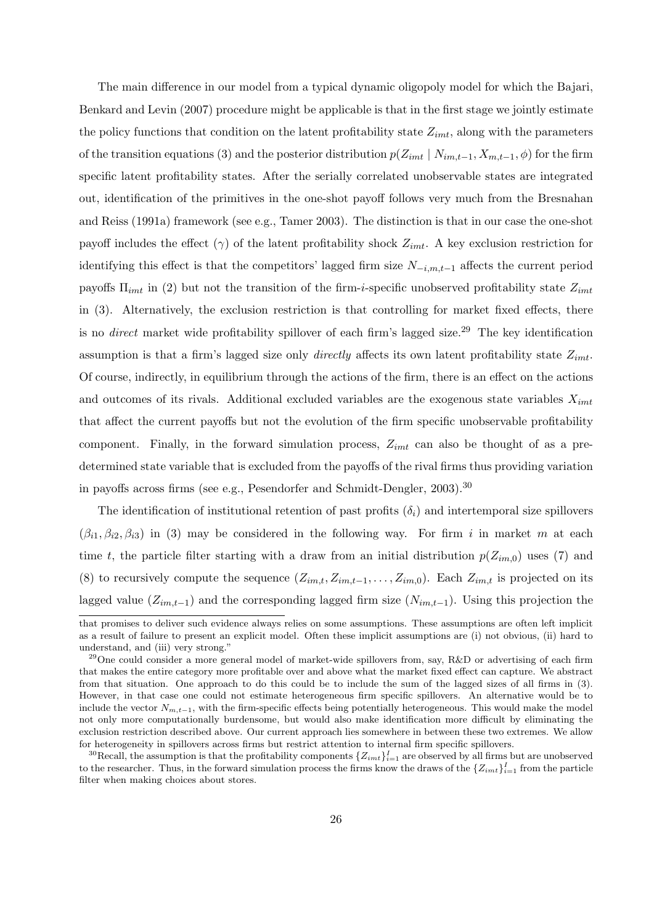The main difference in our model from a typical dynamic oligopoly model for which the Bajari, Benkard and Levin (2007) procedure might be applicable is that in the first stage we jointly estimate the policy functions that condition on the latent profitability state *Zimt*, along with the parameters of the transition equations (3) and the posterior distribution  $p(Z_{imt} | N_{im,t-1}, X_{m,t-1}, \phi)$  for the firm specific latent profitability states. After the serially correlated unobservable states are integrated out, identification of the primitives in the one-shot payoff follows very much from the Bresnahan and Reiss (1991a) framework (see e.g., Tamer 2003). The distinction is that in our case the one-shot payoff includes the effect (*γ*) of the latent profitability shock *Zimt*. A key exclusion restriction for identifying this effect is that the competitors' lagged firm size *N−i,m,t−*<sup>1</sup> affects the current period payoffs Π*imt* in (2) but not the transition of the firm-*i*-specific unobserved profitability state *Zimt* in (3). Alternatively, the exclusion restriction is that controlling for market fixed effects, there is no *direct* market wide profitability spillover of each firm's lagged size.<sup>29</sup> The key identification assumption is that a firm's lagged size only *directly* affects its own latent profitability state *Zimt*. Of course, indirectly, in equilibrium through the actions of the firm, there is an effect on the actions and outcomes of its rivals. Additional excluded variables are the exogenous state variables *Ximt* that affect the current payoffs but not the evolution of the firm specific unobservable profitability component. Finally, in the forward simulation process, *Zimt* can also be thought of as a predetermined state variable that is excluded from the payoffs of the rival firms thus providing variation in payoffs across firms (see e.g., Pesendorfer and Schmidt-Dengler, 2003).<sup>30</sup>

The identification of institutional retention of past profits  $(\delta_i)$  and intertemporal size spillovers  $(\beta_{i1}, \beta_{i2}, \beta_{i3})$  in (3) may be considered in the following way. For firm *i* in market *m* at each time *t*, the particle filter starting with a draw from an initial distribution  $p(Z_{im,0})$  uses (7) and (8) to recursively compute the sequence  $(Z_{im,t}, Z_{im,t-1}, \ldots, Z_{im,0})$ . Each  $Z_{im,t}$  is projected on its lagged value (*Zim,t−*1) and the corresponding lagged firm size (*Nim,t−*1). Using this projection the

that promises to deliver such evidence always relies on some assumptions. These assumptions are often left implicit as a result of failure to present an explicit model. Often these implicit assumptions are (i) not obvious, (ii) hard to understand, and (iii) very strong."

<sup>&</sup>lt;sup>29</sup>One could consider a more general model of market-wide spillovers from, say, R&D or advertising of each firm that makes the entire category more profitable over and above what the market fixed effect can capture. We abstract from that situation. One approach to do this could be to include the sum of the lagged sizes of all firms in (3). However, in that case one could not estimate heterogeneous firm specific spillovers. An alternative would be to include the vector  $N_{m,t-1}$ , with the firm-specific effects being potentially heterogeneous. This would make the model not only more computationally burdensome, but would also make identification more difficult by eliminating the exclusion restriction described above. Our current approach lies somewhere in between these two extremes. We allow for heterogeneity in spillovers across firms but restrict attention to internal firm specific spillovers.

<sup>&</sup>lt;sup>30</sup>Recall, the assumption is that the profitability components  $\{Z_{imt}\}_{i=1}^I$  are observed by all firms but are unobserved to the researcher. Thus, in the forward simulation process the firms know the draws of the  $\{Z_{imt}\}_{i=1}^I$  from the particle filter when making choices about stores.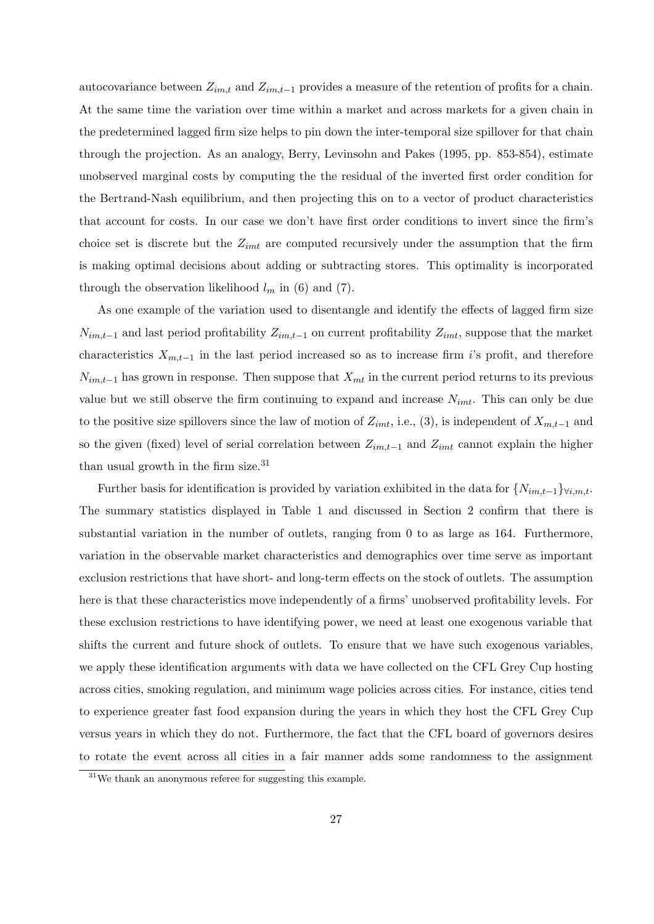autocovariance between  $Z_{im,t}$  and  $Z_{im,t-1}$  provides a measure of the retention of profits for a chain. At the same time the variation over time within a market and across markets for a given chain in the predetermined lagged firm size helps to pin down the inter-temporal size spillover for that chain through the projection. As an analogy, Berry, Levinsohn and Pakes (1995, pp. 853-854), estimate unobserved marginal costs by computing the the residual of the inverted first order condition for the Bertrand-Nash equilibrium, and then projecting this on to a vector of product characteristics that account for costs. In our case we don't have first order conditions to invert since the firm's choice set is discrete but the *Zimt* are computed recursively under the assumption that the firm is making optimal decisions about adding or subtracting stores. This optimality is incorporated through the observation likelihood  $l_m$  in (6) and (7).

As one example of the variation used to disentangle and identify the effects of lagged firm size *Nim,t−*<sup>1</sup> and last period profitability *Zim,t−*<sup>1</sup> on current profitability *Zimt*, suppose that the market characteristics  $X_{m,t-1}$  in the last period increased so as to increase firm *i*'s profit, and therefore  $N_{im,t-1}$  has grown in response. Then suppose that  $X_{mt}$  in the current period returns to its previous value but we still observe the firm continuing to expand and increase *Nimt*. This can only be due to the positive size spillovers since the law of motion of  $Z_{imt}$ , i.e., (3), is independent of  $X_{m,t-1}$  and so the given (fixed) level of serial correlation between *Zim,t−*<sup>1</sup> and *Zimt* cannot explain the higher than usual growth in the firm size. $31$ 

Further basis for identification is provided by variation exhibited in the data for  ${N_{im,t-1}}\}_{\forall i,m,t}$ . The summary statistics displayed in Table 1 and discussed in Section 2 confirm that there is substantial variation in the number of outlets, ranging from 0 to as large as 164. Furthermore, variation in the observable market characteristics and demographics over time serve as important exclusion restrictions that have short- and long-term effects on the stock of outlets. The assumption here is that these characteristics move independently of a firms' unobserved profitability levels. For these exclusion restrictions to have identifying power, we need at least one exogenous variable that shifts the current and future shock of outlets. To ensure that we have such exogenous variables, we apply these identification arguments with data we have collected on the CFL Grey Cup hosting across cities, smoking regulation, and minimum wage policies across cities. For instance, cities tend to experience greater fast food expansion during the years in which they host the CFL Grey Cup versus years in which they do not. Furthermore, the fact that the CFL board of governors desires to rotate the event across all cities in a fair manner adds some randomness to the assignment

<sup>31</sup>We thank an anonymous referee for suggesting this example.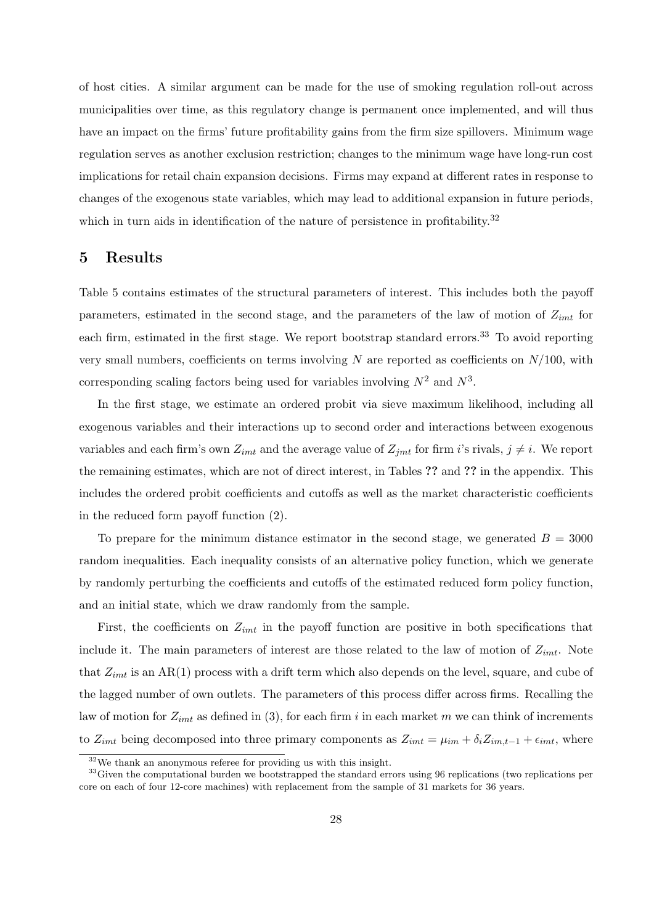of host cities. A similar argument can be made for the use of smoking regulation roll-out across municipalities over time, as this regulatory change is permanent once implemented, and will thus have an impact on the firms' future profitability gains from the firm size spillovers. Minimum wage regulation serves as another exclusion restriction; changes to the minimum wage have long-run cost implications for retail chain expansion decisions. Firms may expand at different rates in response to changes of the exogenous state variables, which may lead to additional expansion in future periods, which in turn aids in identification of the nature of persistence in profitability.<sup>32</sup>

### **5 Results**

Table 5 contains estimates of the structural parameters of interest. This includes both the payoff parameters, estimated in the second stage, and the parameters of the law of motion of *Zimt* for each firm, estimated in the first stage. We report bootstrap standard errors.<sup>33</sup> To avoid reporting very small numbers, coefficients on terms involving *N* are reported as coefficients on *N/*100, with corresponding scaling factors being used for variables involving  $N^2$  and  $N^3$ .

In the first stage, we estimate an ordered probit via sieve maximum likelihood, including all exogenous variables and their interactions up to second order and interactions between exogenous variables and each firm's own  $Z_{imt}$  and the average value of  $Z_{imt}$  for firm *i*'s rivals,  $j \neq i$ . We report the remaining estimates, which are not of direct interest, in Tables **??** and **??** in the appendix. This includes the ordered probit coefficients and cutoffs as well as the market characteristic coefficients in the reduced form payoff function (2).

To prepare for the minimum distance estimator in the second stage, we generated  $B = 3000$ random inequalities. Each inequality consists of an alternative policy function, which we generate by randomly perturbing the coefficients and cutoffs of the estimated reduced form policy function, and an initial state, which we draw randomly from the sample.

First, the coefficients on  $Z_{imt}$  in the payoff function are positive in both specifications that include it. The main parameters of interest are those related to the law of motion of *Zimt*. Note that *Zimt* is an AR(1) process with a drift term which also depends on the level, square, and cube of the lagged number of own outlets. The parameters of this process differ across firms. Recalling the law of motion for *Zimt* as defined in (3), for each firm *i* in each market *m* we can think of increments to  $Z_{imt}$  being decomposed into three primary components as  $Z_{imt} = \mu_{im} + \delta_i Z_{im,t-1} + \epsilon_{imt}$ , where

<sup>32</sup>We thank an anonymous referee for providing us with this insight.

<sup>&</sup>lt;sup>33</sup>Given the computational burden we bootstrapped the standard errors using 96 replications (two replications per core on each of four 12-core machines) with replacement from the sample of 31 markets for 36 years.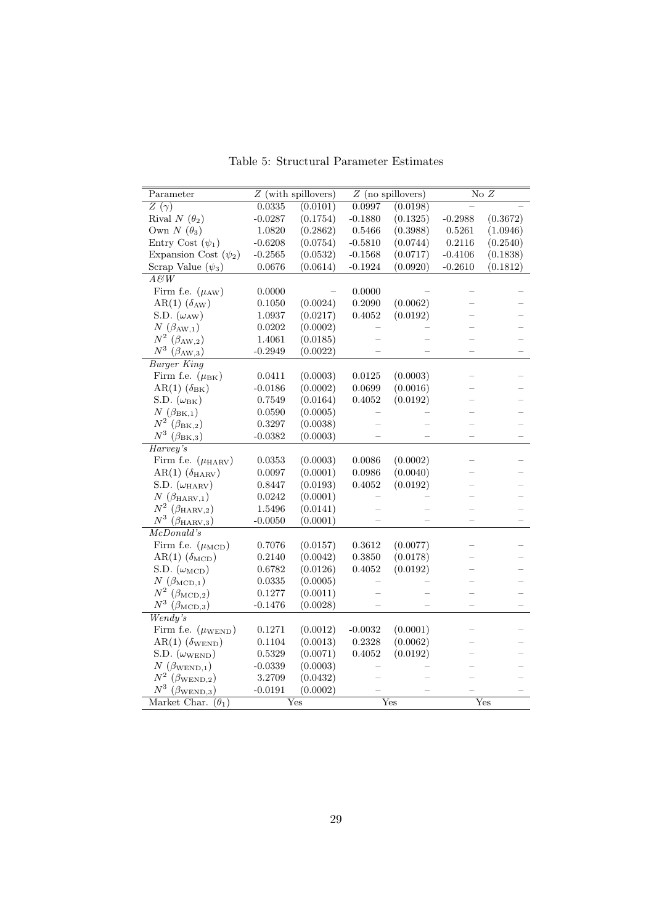| Parameter                           |              | $Z$ (with spillovers) |              | $Z$ (no spillovers) |           | $\overline{\text{No }Z}$ |
|-------------------------------------|--------------|-----------------------|--------------|---------------------|-----------|--------------------------|
| $Z(\gamma)$                         | 0.0335       | (0.0101)              | 0.0997       | (0.0198)            |           |                          |
| Rival $N(\theta_2)$                 | $-0.0287$    | (0.1754)              | $-0.1880$    | (0.1325)            | $-0.2988$ | (0.3672)                 |
| Own $N(\theta_3)$                   | 1.0820       | (0.2862)              | 0.5466       | (0.3988)            | 0.5261    | (1.0946)                 |
| Entry Cost $(\psi_1)$               | $-0.6208$    | (0.0754)              | $-0.5810$    | (0.0744)            | 0.2116    | (0.2540)                 |
| Expansion Cost $(\psi_2)$           | $-0.2565$    | (0.0532)              | $-0.1568$    | (0.0717)            | $-0.4106$ | (0.1838)                 |
| Scrap Value $(\psi_3)$              | 0.0676       | (0.0614)              | $-0.1924$    | (0.0920)            | $-0.2610$ | (0.1812)                 |
| $\overline{A\mathcal{B}W}$          |              |                       |              |                     |           |                          |
| Firm f.e. $(\mu_{AW})$              | 0.0000       |                       | 0.0000       |                     |           |                          |
| AR(1) $(\delta_{AW})$               | $0.1050\,$   | (0.0024)              | 0.2090       | (0.0062)            |           |                          |
| S.D. $(\omega_{AW})$                | 1.0937       | (0.0217)              | 0.4052       | (0.0192)            |           |                          |
| $N(\beta_{AW,1})$                   | 0.0202       | (0.0002)              |              |                     |           |                          |
| $N^2\ (\beta_{\rm AW,2})$           | 1.4061       | (0.0185)              |              |                     |           |                          |
| $N^3~(\beta_{\rm AW,3})$            | $-0.2949$    | (0.0022)              |              |                     |           |                          |
| <b>Burger King</b>                  |              |                       |              |                     |           |                          |
| Firm f.e. $(\mu_{\rm BK})$          | 0.0411       | (0.0003)              | 0.0125       | (0.0003)            |           |                          |
| $AR(1)$ $(\delta_{BK})$             | $-0.0186$    | (0.0002)              | 0.0699       | (0.0016)            |           |                          |
| S.D. $(\omega_{BK})$                | 0.7549       | (0.0164)              | 0.4052       | (0.0192)            |           |                          |
| $N(\beta_{\text{BK},1})$            | 0.0590       | (0.0005)              |              |                     |           |                          |
| $N^2\ (\beta_\text{BK,2})$          | 0.3297       | (0.0038)              |              |                     |           |                          |
| $N^3$ $(\beta_{\rm BK,3})$          | $-0.0382$    | (0.0003)              |              |                     |           |                          |
| Harvey's                            |              |                       |              |                     |           |                          |
| Firm f.e. $(\mu_{\text{HARV}})$     | $\,0.0353\,$ | (0.0003)              | $\,0.0086\,$ | (0.0002)            |           |                          |
| $AR(1)$ ( $\delta_{\text{HARV}}$ )  | 0.0097       | (0.0001)              | 0.0986       | (0.0040)            |           |                          |
| S.D. $(\omega_{\rm HARV})$          | 0.8447       | (0.0193)              | 0.4052       | (0.0192)            |           |                          |
| $N(\beta_{\text{HARV},1})$          | 0.0242       | (0.0001)              |              |                     |           |                          |
| $N^2~(\beta_{\rm HARV,2})$          | 1.5496       | (0.0141)              |              |                     |           |                          |
| $N^3$ ( $\beta_{\text{HARV},3}$ )   | $-0.0050$    | (0.0001)              |              |                     |           |                          |
| McDonald's                          |              |                       |              |                     |           |                          |
| Firm f.e. $(\mu_{\text{MCD}})$      | $0.7076\,$   | (0.0157)              | $\,0.3612\,$ | (0.0077)            |           |                          |
| $AR(1)$ ( $\delta_{\rm MCD}$ )      | 0.2140       | (0.0042)              | 0.3850       | (0.0178)            |           |                          |
| S.D. $(\omega_{\text{MCD}})$        | 0.6782       | (0.0126)              | 0.4052       | (0.0192)            |           |                          |
| $N(\beta_{\rm MCD,1})$              | $\,0.0335\,$ | (0.0005)              |              |                     |           |                          |
| $N^2\ (\beta_{\rm MCD,2})$          | 0.1277       | (0.0011)              |              |                     |           |                          |
| $N^3~(\beta_\mathrm{MCD,3})$        | $-0.1476$    | (0.0028)              |              |                     |           |                          |
| Wendy's                             |              |                       |              |                     |           |                          |
| Firm f.e. $(\mu_{\text{WEND}})$     | 0.1271       | (0.0012)              | $-0.0032$    | (0.0001)            |           |                          |
| $AR(1)$ ( $\delta_{\text{WEND}}$ )  | 0.1104       | (0.0013)              | $0.2328\,$   | (0.0062)            |           |                          |
| S.D. $(\omega_{\text{WEND}})$       | $\,0.5329\,$ | (0.0071)              | 0.4052       | (0.0192)            |           |                          |
| $N(\beta_{\text{WEND},1})$          | $-0.0339$    | (0.0003)              |              |                     |           |                          |
| $N^2$ ( $\beta_{\mathrm{WEND,2}}$ ) | 3.2709       | (0.0432)              |              |                     |           |                          |
| $N^3$<br>$(\beta_{\text{WEND},3})$  | $-0.0191$    | (0.0002)              |              |                     |           |                          |
| Market Char. $(\theta_1)$           |              | Yes                   |              | Yes                 |           | Yes                      |

Table 5: Structural Parameter Estimates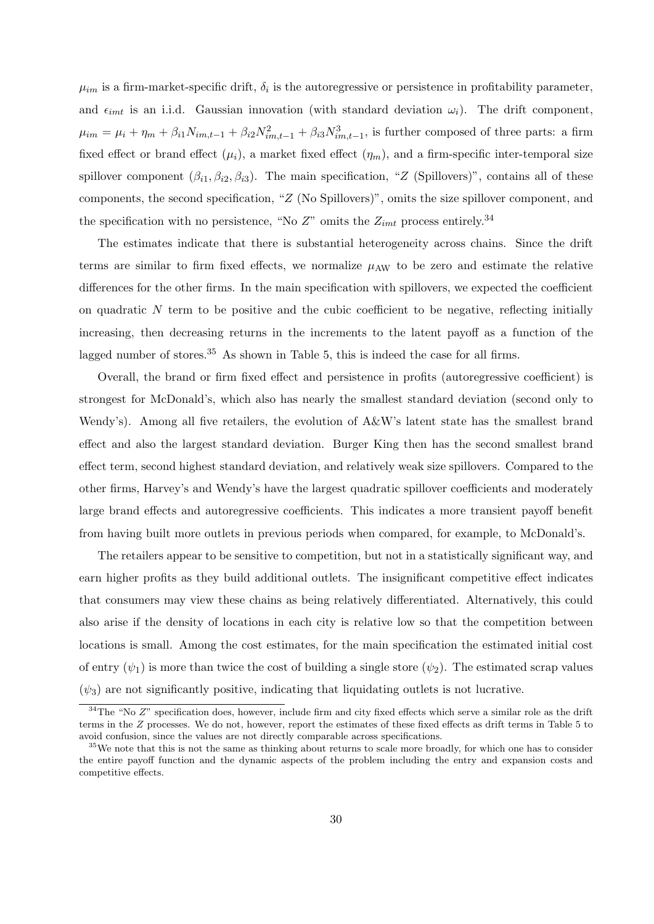$\mu_{im}$  is a firm-market-specific drift,  $\delta_i$  is the autoregressive or persistence in profitability parameter, and  $\epsilon_{imt}$  is an i.i.d. Gaussian innovation (with standard deviation  $\omega_i$ ). The drift component,  $\mu_{im} = \mu_i + \eta_m + \beta_{i1} N_{im,t-1} + \beta_{i2} N_{im,t-1}^2 + \beta_{i3} N_{im,t-1}^3$ , is further composed of three parts: a firm fixed effect or brand effect  $(\mu_i)$ , a market fixed effect  $(\eta_m)$ , and a firm-specific inter-temporal size spillover component  $(\beta_{i1}, \beta_{i2}, \beta_{i3})$ . The main specification, "*Z* (Spillovers)", contains all of these components, the second specification, "*Z* (No Spillovers)", omits the size spillover component, and the specification with no persistence, "No  $Z$ " omits the  $Z_{imt}$  process entirely.<sup>34</sup>

The estimates indicate that there is substantial heterogeneity across chains. Since the drift terms are similar to firm fixed effects, we normalize  $\mu_{AW}$  to be zero and estimate the relative differences for the other firms. In the main specification with spillovers, we expected the coefficient on quadratic *N* term to be positive and the cubic coefficient to be negative, reflecting initially increasing, then decreasing returns in the increments to the latent payoff as a function of the lagged number of stores.<sup>35</sup> As shown in Table 5, this is indeed the case for all firms.

Overall, the brand or firm fixed effect and persistence in profits (autoregressive coefficient) is strongest for McDonald's, which also has nearly the smallest standard deviation (second only to Wendy's). Among all five retailers, the evolution of A&W's latent state has the smallest brand effect and also the largest standard deviation. Burger King then has the second smallest brand effect term, second highest standard deviation, and relatively weak size spillovers. Compared to the other firms, Harvey's and Wendy's have the largest quadratic spillover coefficients and moderately large brand effects and autoregressive coefficients. This indicates a more transient payoff benefit from having built more outlets in previous periods when compared, for example, to McDonald's.

The retailers appear to be sensitive to competition, but not in a statistically significant way, and earn higher profits as they build additional outlets. The insignificant competitive effect indicates that consumers may view these chains as being relatively differentiated. Alternatively, this could also arise if the density of locations in each city is relative low so that the competition between locations is small. Among the cost estimates, for the main specification the estimated initial cost of entry  $(\psi_1)$  is more than twice the cost of building a single store  $(\psi_2)$ . The estimated scrap values  $(\psi_3)$  are not significantly positive, indicating that liquidating outlets is not lucrative.

<sup>&</sup>lt;sup>34</sup>The "No *Z*" specification does, however, include firm and city fixed effects which serve a similar role as the drift terms in the *Z* processes. We do not, however, report the estimates of these fixed effects as drift terms in Table 5 to avoid confusion, since the values are not directly comparable across specifications.

<sup>&</sup>lt;sup>35</sup>We note that this is not the same as thinking about returns to scale more broadly, for which one has to consider the entire payoff function and the dynamic aspects of the problem including the entry and expansion costs and competitive effects.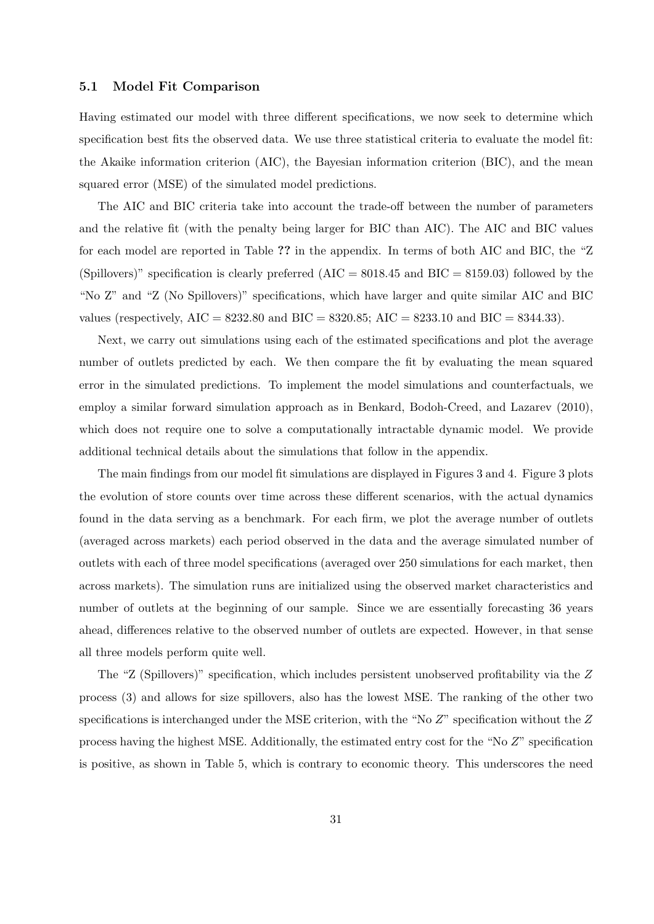#### **5.1 Model Fit Comparison**

Having estimated our model with three different specifications, we now seek to determine which specification best fits the observed data. We use three statistical criteria to evaluate the model fit: the Akaike information criterion (AIC), the Bayesian information criterion (BIC), and the mean squared error (MSE) of the simulated model predictions.

The AIC and BIC criteria take into account the trade-off between the number of parameters and the relative fit (with the penalty being larger for BIC than AIC). The AIC and BIC values for each model are reported in Table **??** in the appendix. In terms of both AIC and BIC, the "Z (Spillovers)" specification is clearly preferred (AIC = 8018*.*45 and BIC = 8159*.*03) followed by the "No Z" and "Z (No Spillovers)" specifications, which have larger and quite similar AIC and BIC values (respectively, AIC = 8232*.*80 and BIC = 8320*.*85; AIC = 8233*.*10 and BIC = 8344*.*33).

Next, we carry out simulations using each of the estimated specifications and plot the average number of outlets predicted by each. We then compare the fit by evaluating the mean squared error in the simulated predictions. To implement the model simulations and counterfactuals, we employ a similar forward simulation approach as in Benkard, Bodoh-Creed, and Lazarev (2010), which does not require one to solve a computationally intractable dynamic model. We provide additional technical details about the simulations that follow in the appendix.

The main findings from our model fit simulations are displayed in Figures 3 and 4. Figure 3 plots the evolution of store counts over time across these different scenarios, with the actual dynamics found in the data serving as a benchmark. For each firm, we plot the average number of outlets (averaged across markets) each period observed in the data and the average simulated number of outlets with each of three model specifications (averaged over 250 simulations for each market, then across markets). The simulation runs are initialized using the observed market characteristics and number of outlets at the beginning of our sample. Since we are essentially forecasting 36 years ahead, differences relative to the observed number of outlets are expected. However, in that sense all three models perform quite well.

The "Z (Spillovers)" specification, which includes persistent unobserved profitability via the *Z* process (3) and allows for size spillovers, also has the lowest MSE. The ranking of the other two specifications is interchanged under the MSE criterion, with the "No *Z*" specification without the *Z* process having the highest MSE. Additionally, the estimated entry cost for the "No *Z*" specification is positive, as shown in Table 5, which is contrary to economic theory. This underscores the need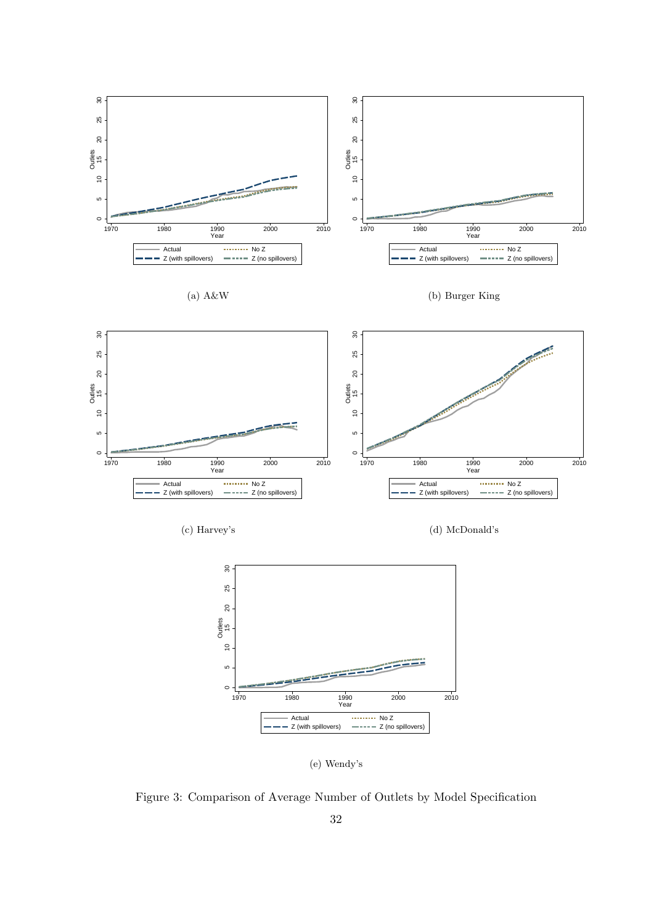

(e) Wendy's

Figure 3: Comparison of Average Number of Outlets by Model Specification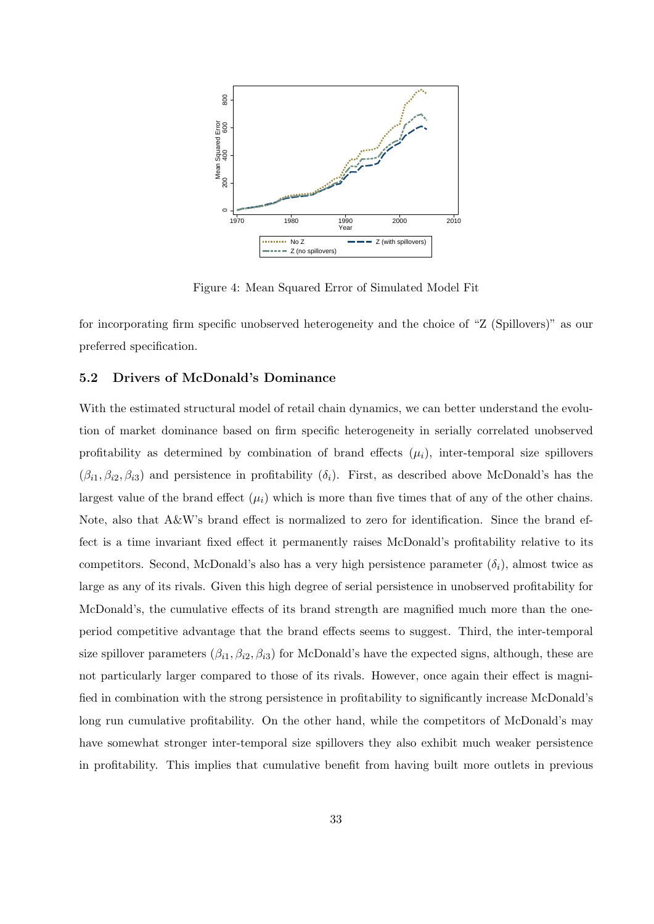

Figure 4: Mean Squared Error of Simulated Model Fit

for incorporating firm specific unobserved heterogeneity and the choice of "Z (Spillovers)" as our preferred specification.

### **5.2 Drivers of McDonald's Dominance**

With the estimated structural model of retail chain dynamics, we can better understand the evolution of market dominance based on firm specific heterogeneity in serially correlated unobserved profitability as determined by combination of brand effects  $(\mu_i)$ , inter-temporal size spillovers  $(\beta_{i1}, \beta_{i2}, \beta_{i3})$  and persistence in profitability  $(\delta_i)$ . First, as described above McDonald's has the largest value of the brand effect  $(\mu_i)$  which is more than five times that of any of the other chains. Note, also that A&W's brand effect is normalized to zero for identification. Since the brand effect is a time invariant fixed effect it permanently raises McDonald's profitability relative to its competitors. Second, McDonald's also has a very high persistence parameter  $(\delta_i)$ , almost twice as large as any of its rivals. Given this high degree of serial persistence in unobserved profitability for McDonald's, the cumulative effects of its brand strength are magnified much more than the oneperiod competitive advantage that the brand effects seems to suggest. Third, the inter-temporal size spillover parameters  $(\beta_{i1}, \beta_{i2}, \beta_{i3})$  for McDonald's have the expected signs, although, these are not particularly larger compared to those of its rivals. However, once again their effect is magnified in combination with the strong persistence in profitability to significantly increase McDonald's long run cumulative profitability. On the other hand, while the competitors of McDonald's may have somewhat stronger inter-temporal size spillovers they also exhibit much weaker persistence in profitability. This implies that cumulative benefit from having built more outlets in previous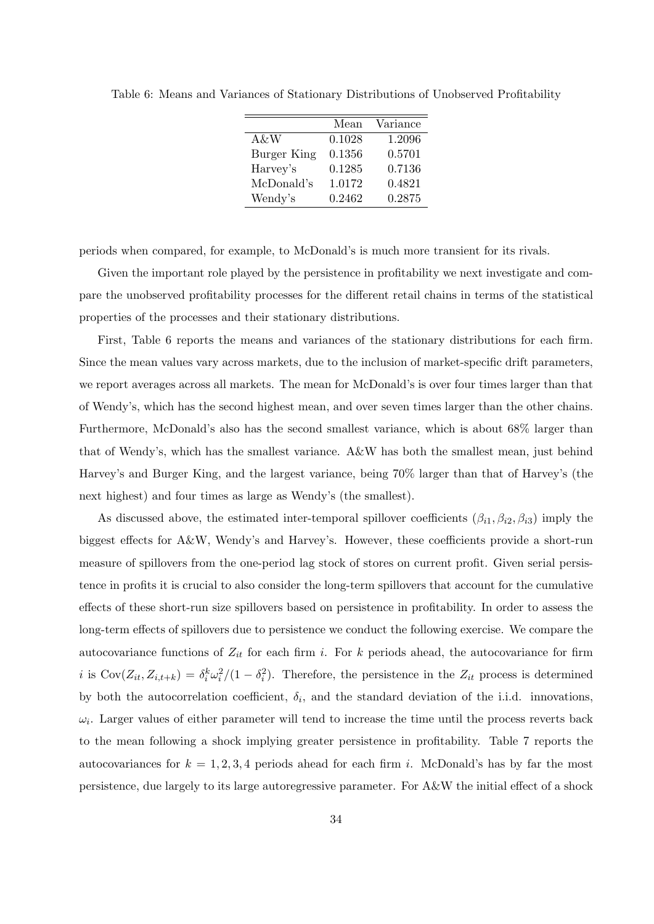|                    | Mean   | Variance |
|--------------------|--------|----------|
| A&W                | 0.1028 | 1.2096   |
| <b>Burger King</b> | 0.1356 | 0.5701   |
| Harvey's           | 0.1285 | 0.7136   |
| McDonald's         | 1.0172 | 0.4821   |
| Wendy's            | 0.2462 | 0.2875   |

Table 6: Means and Variances of Stationary Distributions of Unobserved Profitability

periods when compared, for example, to McDonald's is much more transient for its rivals.

Given the important role played by the persistence in profitability we next investigate and compare the unobserved profitability processes for the different retail chains in terms of the statistical properties of the processes and their stationary distributions.

First, Table 6 reports the means and variances of the stationary distributions for each firm. Since the mean values vary across markets, due to the inclusion of market-specific drift parameters, we report averages across all markets. The mean for McDonald's is over four times larger than that of Wendy's, which has the second highest mean, and over seven times larger than the other chains. Furthermore, McDonald's also has the second smallest variance, which is about 68% larger than that of Wendy's, which has the smallest variance. A&W has both the smallest mean, just behind Harvey's and Burger King, and the largest variance, being 70% larger than that of Harvey's (the next highest) and four times as large as Wendy's (the smallest).

As discussed above, the estimated inter-temporal spillover coefficients  $(\beta_{i1}, \beta_{i2}, \beta_{i3})$  imply the biggest effects for A&W, Wendy's and Harvey's. However, these coefficients provide a short-run measure of spillovers from the one-period lag stock of stores on current profit. Given serial persistence in profits it is crucial to also consider the long-term spillovers that account for the cumulative effects of these short-run size spillovers based on persistence in profitability. In order to assess the long-term effects of spillovers due to persistence we conduct the following exercise. We compare the autocovariance functions of *Zit* for each firm *i*. For *k* periods ahead, the autocovariance for firm *i* is  $Cov(Z_{it}, Z_{i,t+k}) = \delta_i^k \omega_i^2/(1 - \delta_i^2)$ . Therefore, the persistence in the  $Z_{it}$  process is determined by both the autocorrelation coefficient,  $\delta_i$ , and the standard deviation of the i.i.d. innovations,  $\omega_i$ . Larger values of either parameter will tend to increase the time until the process reverts back to the mean following a shock implying greater persistence in profitability. Table 7 reports the autocovariances for  $k = 1, 2, 3, 4$  periods ahead for each firm *i*. McDonald's has by far the most persistence, due largely to its large autoregressive parameter. For A&W the initial effect of a shock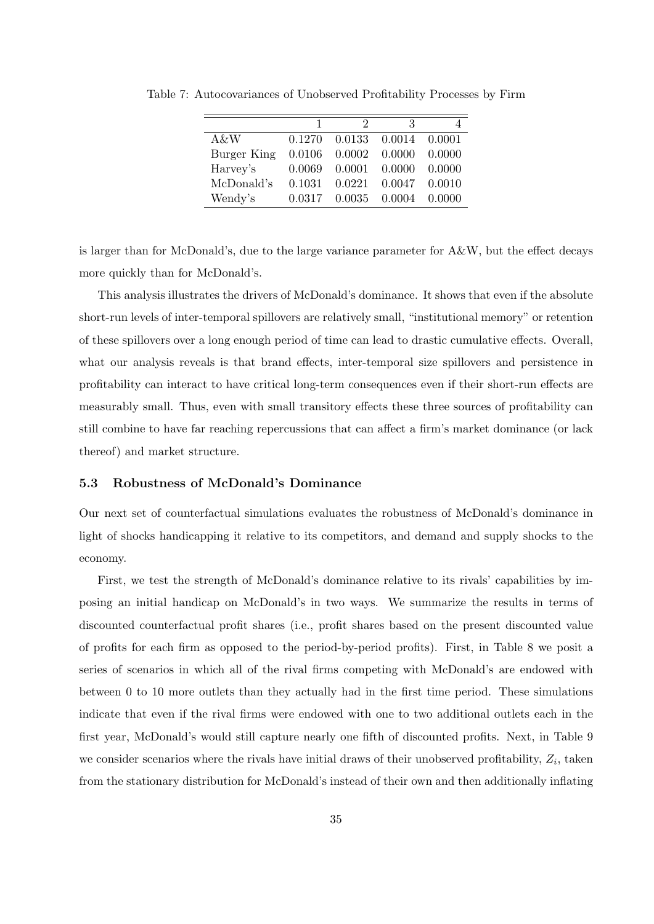|             | 1      |        | 3      |        |
|-------------|--------|--------|--------|--------|
| A&W         | 0.1270 | 0.0133 | 0.0014 | 0.0001 |
| Burger King | 0.0106 | 0.0002 | 0.0000 | 0.0000 |
| Harvey's    | 0.0069 | 0.0001 | 0.0000 | 0.0000 |
| McDonald's  | 0.1031 | 0.0221 | 0.0047 | 0.0010 |
| Wendy's     | 0.0317 | 0.0035 | 0.0004 | 0.0000 |

Table 7: Autocovariances of Unobserved Profitability Processes by Firm

is larger than for McDonald's, due to the large variance parameter for A&W, but the effect decays more quickly than for McDonald's.

This analysis illustrates the drivers of McDonald's dominance. It shows that even if the absolute short-run levels of inter-temporal spillovers are relatively small, "institutional memory" or retention of these spillovers over a long enough period of time can lead to drastic cumulative effects. Overall, what our analysis reveals is that brand effects, inter-temporal size spillovers and persistence in profitability can interact to have critical long-term consequences even if their short-run effects are measurably small. Thus, even with small transitory effects these three sources of profitability can still combine to have far reaching repercussions that can affect a firm's market dominance (or lack thereof) and market structure.

#### **5.3 Robustness of McDonald's Dominance**

Our next set of counterfactual simulations evaluates the robustness of McDonald's dominance in light of shocks handicapping it relative to its competitors, and demand and supply shocks to the economy.

First, we test the strength of McDonald's dominance relative to its rivals' capabilities by imposing an initial handicap on McDonald's in two ways. We summarize the results in terms of discounted counterfactual profit shares (i.e., profit shares based on the present discounted value of profits for each firm as opposed to the period-by-period profits). First, in Table 8 we posit a series of scenarios in which all of the rival firms competing with McDonald's are endowed with between 0 to 10 more outlets than they actually had in the first time period. These simulations indicate that even if the rival firms were endowed with one to two additional outlets each in the first year, McDonald's would still capture nearly one fifth of discounted profits. Next, in Table 9 we consider scenarios where the rivals have initial draws of their unobserved profitability, *Z<sup>i</sup>* , taken from the stationary distribution for McDonald's instead of their own and then additionally inflating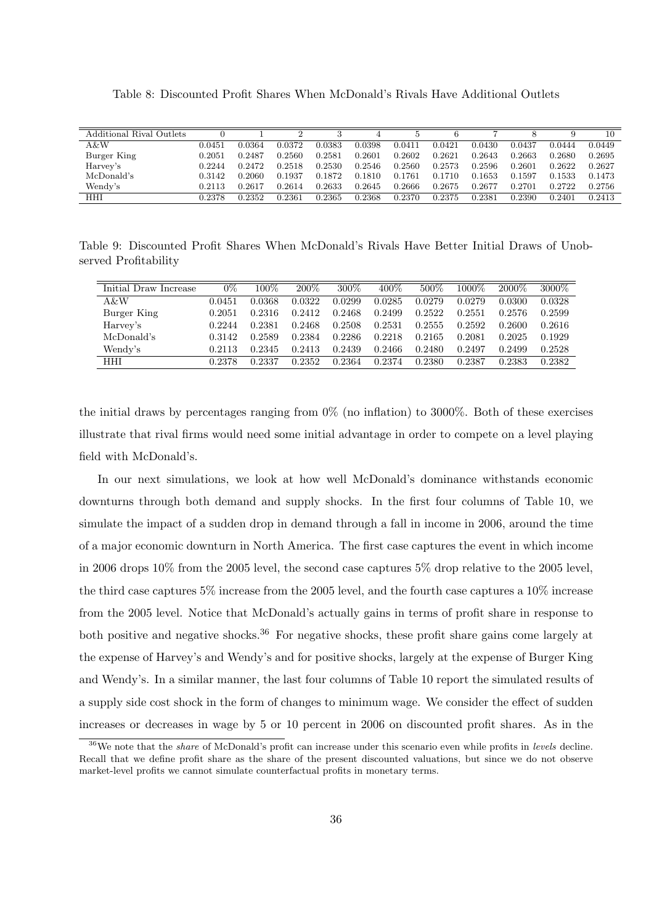Table 8: Discounted Profit Shares When McDonald's Rivals Have Additional Outlets

| Additional Rival Outlets |        |        |        |        |        |        |        |        |        |        | 10     |
|--------------------------|--------|--------|--------|--------|--------|--------|--------|--------|--------|--------|--------|
| A&W                      | 0.0451 | 0.0364 | 0.0372 | 0.0383 | 0.0398 | 0.0411 | 0.0421 | 0.0430 | 0.0437 | 0.0444 | 0.0449 |
| Burger King              | 0.2051 | 0.2487 | 0.2560 | 0.2581 | 0.2601 | 0.2602 | 0.2621 | 0.2643 | 0.2663 | 0.2680 | 0.2695 |
| Harvey's                 | 0.2244 | 0.2472 | 0.2518 | 0.2530 | 0.2546 | 0.2560 | 0.2573 | 0.2596 | 0.2601 | 0.2622 | 0.2627 |
| McDonald's               | 0.3142 | 0.2060 | 0.1937 | 0.1872 | 0.1810 | 0.1761 | 0.1710 | 0.1653 | 0.1597 | 0.1533 | 0.1473 |
| Wendy's                  | 0.2113 | 0.2617 | 0.2614 | 0.2633 | 0.2645 | 0.2666 | 0.2675 | 0.2677 | 0.2701 | 0.2722 | 0.2756 |
| HHI                      | 0.2378 | 0.2352 | 0.2361 | 0.2365 | 0.2368 | 0.2370 | 0.2375 | 0.2381 | 0.2390 | 0.2401 | 0.2413 |

Table 9: Discounted Profit Shares When McDonald's Rivals Have Better Initial Draws of Unobserved Profitability

| Initial Draw Increase | 0%     | $100\%$ | 200%   | $300\%$ | $400\%$ | 500\%  | 1000\% | 2000\% | 3000%  |
|-----------------------|--------|---------|--------|---------|---------|--------|--------|--------|--------|
| A&W                   | 0.0451 | 0.0368  | 0.0322 | 0.0299  | 0.0285  | 0.0279 | 0.0279 | 0.0300 | 0.0328 |
| Burger King           | 0.2051 | 0.2316  | 0.2412 | 0.2468  | 0.2499  | 0.2522 | 0.2551 | 0.2576 | 0.2599 |
| Harvey's              | 0.2244 | 0.2381  | 0.2468 | 0.2508  | 0.2531  | 0.2555 | 0.2592 | 0.2600 | 0.2616 |
| McDonald's            | 0.3142 | 0.2589  | 0.2384 | 0.2286  | 0.2218  | 0.2165 | 0.2081 | 0.2025 | 0.1929 |
| Wendy's               | 0.2113 | 0.2345  | 0.2413 | 0.2439  | 0.2466  | 0.2480 | 0.2497 | 0.2499 | 0.2528 |
| HHI                   | 0.2378 | 0.2337  | 0.2352 | 0.2364  | 0.2374  | 0.2380 | 0.2387 | 0.2383 | 0.2382 |

the initial draws by percentages ranging from 0% (no inflation) to 3000%. Both of these exercises illustrate that rival firms would need some initial advantage in order to compete on a level playing field with McDonald's.

In our next simulations, we look at how well McDonald's dominance withstands economic downturns through both demand and supply shocks. In the first four columns of Table 10, we simulate the impact of a sudden drop in demand through a fall in income in 2006, around the time of a major economic downturn in North America. The first case captures the event in which income in 2006 drops 10% from the 2005 level, the second case captures 5% drop relative to the 2005 level, the third case captures 5% increase from the 2005 level, and the fourth case captures a 10% increase from the 2005 level. Notice that McDonald's actually gains in terms of profit share in response to both positive and negative shocks.<sup>36</sup> For negative shocks, these profit share gains come largely at the expense of Harvey's and Wendy's and for positive shocks, largely at the expense of Burger King and Wendy's. In a similar manner, the last four columns of Table 10 report the simulated results of a supply side cost shock in the form of changes to minimum wage. We consider the effect of sudden increases or decreases in wage by 5 or 10 percent in 2006 on discounted profit shares. As in the

<sup>36</sup>We note that the *share* of McDonald's profit can increase under this scenario even while profits in *levels* decline. Recall that we define profit share as the share of the present discounted valuations, but since we do not observe market-level profits we cannot simulate counterfactual profits in monetary terms.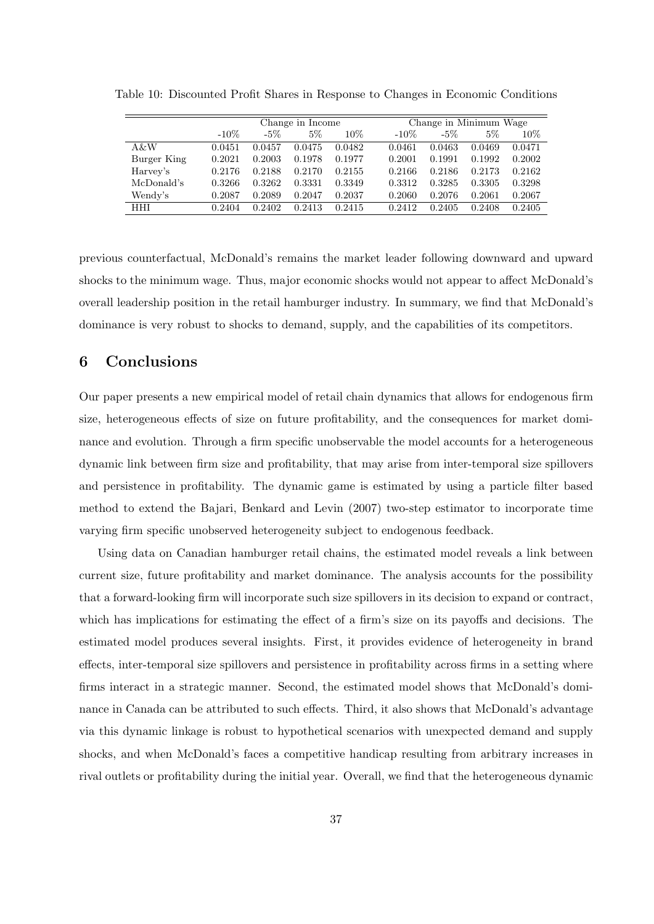|             |         |        | Change in Income |        |         | Change in Minimum Wage |        |        |  |  |
|-------------|---------|--------|------------------|--------|---------|------------------------|--------|--------|--|--|
|             | $-10\%$ | $-5\%$ | $5\%$            | $10\%$ | $-10\%$ | $-5\%$                 | $5\%$  | $10\%$ |  |  |
| $A \& W$    | 0.0451  | 0.0457 | 0.0475           | 0.0482 | 0.0461  | 0.0463                 | 0.0469 | 0.0471 |  |  |
| Burger King | 0.2021  | 0.2003 | 0.1978           | 0.1977 | 0.2001  | 0.1991                 | 0.1992 | 0.2002 |  |  |
| Harvey's    | 0.2176  | 0.2188 | 0.2170           | 0.2155 | 0.2166  | 0.2186                 | 0.2173 | 0.2162 |  |  |
| McDonald's  | 0.3266  | 0.3262 | 0.3331           | 0.3349 | 0.3312  | 0.3285                 | 0.3305 | 0.3298 |  |  |
| Wendy's     | 0.2087  | 0.2089 | 0.2047           | 0.2037 | 0.2060  | 0.2076                 | 0.2061 | 0.2067 |  |  |
| HHI         | 0.2404  | 0.2402 | 0.2413           | 0.2415 | 0.2412  | 0.2405                 | 0.2408 | 0.2405 |  |  |

Table 10: Discounted Profit Shares in Response to Changes in Economic Conditions

previous counterfactual, McDonald's remains the market leader following downward and upward shocks to the minimum wage. Thus, major economic shocks would not appear to affect McDonald's overall leadership position in the retail hamburger industry. In summary, we find that McDonald's dominance is very robust to shocks to demand, supply, and the capabilities of its competitors.

# **6 Conclusions**

Our paper presents a new empirical model of retail chain dynamics that allows for endogenous firm size, heterogeneous effects of size on future profitability, and the consequences for market dominance and evolution. Through a firm specific unobservable the model accounts for a heterogeneous dynamic link between firm size and profitability, that may arise from inter-temporal size spillovers and persistence in profitability. The dynamic game is estimated by using a particle filter based method to extend the Bajari, Benkard and Levin (2007) two-step estimator to incorporate time varying firm specific unobserved heterogeneity subject to endogenous feedback.

Using data on Canadian hamburger retail chains, the estimated model reveals a link between current size, future profitability and market dominance. The analysis accounts for the possibility that a forward-looking firm will incorporate such size spillovers in its decision to expand or contract, which has implications for estimating the effect of a firm's size on its payoffs and decisions. The estimated model produces several insights. First, it provides evidence of heterogeneity in brand effects, inter-temporal size spillovers and persistence in profitability across firms in a setting where firms interact in a strategic manner. Second, the estimated model shows that McDonald's dominance in Canada can be attributed to such effects. Third, it also shows that McDonald's advantage via this dynamic linkage is robust to hypothetical scenarios with unexpected demand and supply shocks, and when McDonald's faces a competitive handicap resulting from arbitrary increases in rival outlets or profitability during the initial year. Overall, we find that the heterogeneous dynamic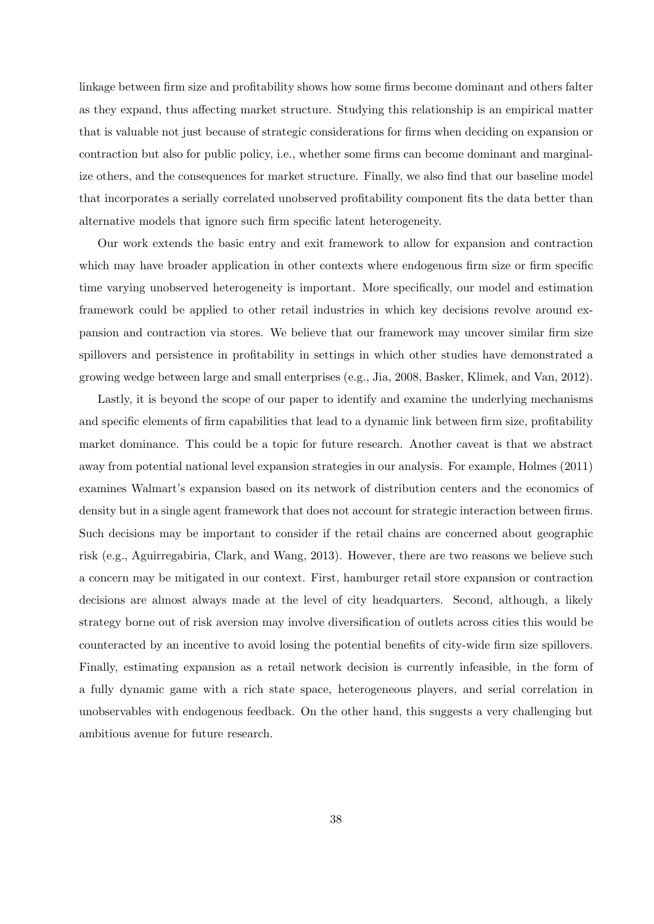linkage between firm size and profitability shows how some firms become dominant and others falter as they expand, thus affecting market structure. Studying this relationship is an empirical matter that is valuable not just because of strategic considerations for firms when deciding on expansion or contraction but also for public policy, i.e., whether some firms can become dominant and marginalize others, and the consequences for market structure. Finally, we also find that our baseline model that incorporates a serially correlated unobserved profitability component fits the data better than alternative models that ignore such firm specific latent heterogeneity.

Our work extends the basic entry and exit framework to allow for expansion and contraction which may have broader application in other contexts where endogenous firm size or firm specific time varying unobserved heterogeneity is important. More specifically, our model and estimation framework could be applied to other retail industries in which key decisions revolve around expansion and contraction via stores. We believe that our framework may uncover similar firm size spillovers and persistence in profitability in settings in which other studies have demonstrated a growing wedge between large and small enterprises (e.g., Jia, 2008, Basker, Klimek, and Van, 2012).

Lastly, it is beyond the scope of our paper to identify and examine the underlying mechanisms and specific elements of firm capabilities that lead to a dynamic link between firm size, profitability market dominance. This could be a topic for future research. Another caveat is that we abstract away from potential national level expansion strategies in our analysis. For example, Holmes (2011) examines Walmart's expansion based on its network of distribution centers and the economics of density but in a single agent framework that does not account for strategic interaction between firms. Such decisions may be important to consider if the retail chains are concerned about geographic risk (e.g., Aguirregabiria, Clark, and Wang, 2013). However, there are two reasons we believe such a concern may be mitigated in our context. First, hamburger retail store expansion or contraction decisions are almost always made at the level of city headquarters. Second, although, a likely strategy borne out of risk aversion may involve diversification of outlets across cities this would be counteracted by an incentive to avoid losing the potential benefits of city-wide firm size spillovers. Finally, estimating expansion as a retail network decision is currently infeasible, in the form of a fully dynamic game with a rich state space, heterogeneous players, and serial correlation in unobservables with endogenous feedback. On the other hand, this suggests a very challenging but ambitious avenue for future research.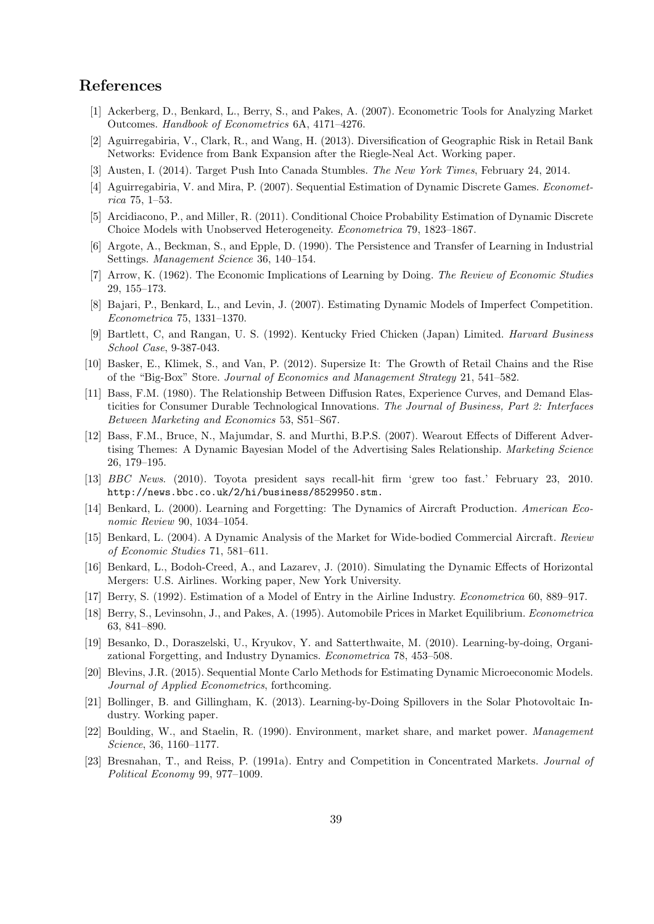# **References**

- [1] Ackerberg, D., Benkard, L., Berry, S., and Pakes, A. (2007). Econometric Tools for Analyzing Market Outcomes. *Handbook of Econometrics* 6A, 4171–4276.
- [2] Aguirregabiria, V., Clark, R., and Wang, H. (2013). Diversification of Geographic Risk in Retail Bank Networks: Evidence from Bank Expansion after the Riegle-Neal Act. Working paper.
- [3] Austen, I. (2014). Target Push Into Canada Stumbles. *The New York Times*, February 24, 2014.
- [4] Aguirregabiria, V. and Mira, P. (2007). Sequential Estimation of Dynamic Discrete Games. *Econometrica* 75, 1–53.
- [5] Arcidiacono, P., and Miller, R. (2011). Conditional Choice Probability Estimation of Dynamic Discrete Choice Models with Unobserved Heterogeneity. *Econometrica* 79, 1823–1867.
- [6] Argote, A., Beckman, S., and Epple, D. (1990). The Persistence and Transfer of Learning in Industrial Settings. *Management Science* 36, 140–154.
- [7] Arrow, K. (1962). The Economic Implications of Learning by Doing. *The Review of Economic Studies* 29, 155–173.
- [8] Bajari, P., Benkard, L., and Levin, J. (2007). Estimating Dynamic Models of Imperfect Competition. *Econometrica* 75, 1331–1370.
- [9] Bartlett, C, and Rangan, U. S. (1992). Kentucky Fried Chicken (Japan) Limited. *Harvard Business School Case*, 9-387-043.
- [10] Basker, E., Klimek, S., and Van, P. (2012). Supersize It: The Growth of Retail Chains and the Rise of the "Big-Box" Store. *Journal of Economics and Management Strategy* 21, 541–582.
- [11] Bass, F.M. (1980). The Relationship Between Diffusion Rates, Experience Curves, and Demand Elasticities for Consumer Durable Technological Innovations. *The Journal of Business, Part 2: Interfaces Between Marketing and Economics* 53, S51–S67.
- [12] Bass, F.M., Bruce, N., Majumdar, S. and Murthi, B.P.S. (2007). Wearout Effects of Different Advertising Themes: A Dynamic Bayesian Model of the Advertising Sales Relationship. *Marketing Science* 26, 179–195.
- [13] *BBC News*. (2010). Toyota president says recall-hit firm 'grew too fast.' February 23, 2010. http://news.bbc.co.uk/2/hi/business/8529950.stm.
- [14] Benkard, L. (2000). Learning and Forgetting: The Dynamics of Aircraft Production. *American Economic Review* 90, 1034–1054.
- [15] Benkard, L. (2004). A Dynamic Analysis of the Market for Wide-bodied Commercial Aircraft. *Review of Economic Studies* 71, 581–611.
- [16] Benkard, L., Bodoh-Creed, A., and Lazarev, J. (2010). Simulating the Dynamic Effects of Horizontal Mergers: U.S. Airlines. Working paper, New York University.
- [17] Berry, S. (1992). Estimation of a Model of Entry in the Airline Industry. *Econometrica* 60, 889–917.
- [18] Berry, S., Levinsohn, J., and Pakes, A. (1995). Automobile Prices in Market Equilibrium. *Econometrica* 63, 841–890.
- [19] Besanko, D., Doraszelski, U., Kryukov, Y. and Satterthwaite, M. (2010). Learning-by-doing, Organizational Forgetting, and Industry Dynamics. *Econometrica* 78, 453–508.
- [20] Blevins, J.R. (2015). Sequential Monte Carlo Methods for Estimating Dynamic Microeconomic Models. *Journal of Applied Econometrics*, forthcoming.
- [21] Bollinger, B. and Gillingham, K. (2013). Learning-by-Doing Spillovers in the Solar Photovoltaic Industry. Working paper.
- [22] Boulding, W., and Staelin, R. (1990). Environment, market share, and market power. *Management Science*, 36, 1160–1177.
- [23] Bresnahan, T., and Reiss, P. (1991a). Entry and Competition in Concentrated Markets. *Journal of Political Economy* 99, 977–1009.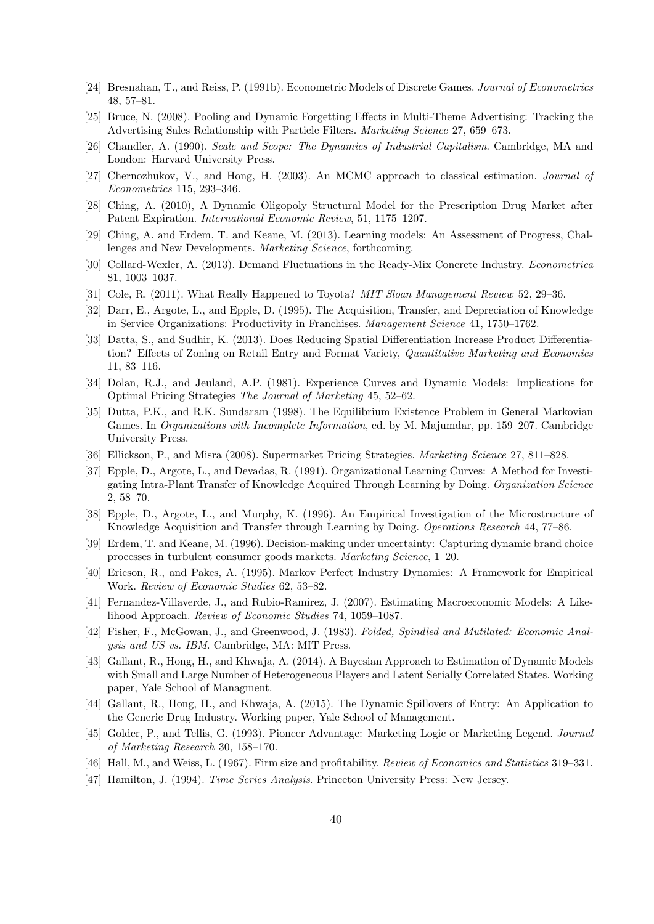- [24] Bresnahan, T., and Reiss, P. (1991b). Econometric Models of Discrete Games. *Journal of Econometrics* 48, 57–81.
- [25] Bruce, N. (2008). Pooling and Dynamic Forgetting Effects in Multi-Theme Advertising: Tracking the Advertising Sales Relationship with Particle Filters. *Marketing Science* 27, 659–673.
- [26] Chandler, A. (1990). *Scale and Scope: The Dynamics of Industrial Capitalism*. Cambridge, MA and London: Harvard University Press.
- [27] Chernozhukov, V., and Hong, H. (2003). An MCMC approach to classical estimation. *Journal of Econometrics* 115, 293–346.
- [28] Ching, A. (2010), A Dynamic Oligopoly Structural Model for the Prescription Drug Market after Patent Expiration. *International Economic Review*, 51, 1175–1207.
- [29] Ching, A. and Erdem, T. and Keane, M. (2013). Learning models: An Assessment of Progress, Challenges and New Developments. *Marketing Science*, forthcoming.
- [30] Collard-Wexler, A. (2013). Demand Fluctuations in the Ready-Mix Concrete Industry. *Econometrica* 81, 1003–1037.
- [31] Cole, R. (2011). What Really Happened to Toyota? *MIT Sloan Management Review* 52, 29–36.
- [32] Darr, E., Argote, L., and Epple, D. (1995). The Acquisition, Transfer, and Depreciation of Knowledge in Service Organizations: Productivity in Franchises. *Management Science* 41, 1750–1762.
- [33] Datta, S., and Sudhir, K. (2013). Does Reducing Spatial Differentiation Increase Product Differentiation? Effects of Zoning on Retail Entry and Format Variety, *Quantitative Marketing and Economics* 11, 83–116.
- [34] Dolan, R.J., and Jeuland, A.P. (1981). Experience Curves and Dynamic Models: Implications for Optimal Pricing Strategies *The Journal of Marketing* 45, 52–62.
- [35] Dutta, P.K., and R.K. Sundaram (1998). The Equilibrium Existence Problem in General Markovian Games. In *Organizations with Incomplete Information*, ed. by M. Majumdar, pp. 159–207. Cambridge University Press.
- [36] Ellickson, P., and Misra (2008). Supermarket Pricing Strategies. *Marketing Science* 27, 811–828.
- [37] Epple, D., Argote, L., and Devadas, R. (1991). Organizational Learning Curves: A Method for Investigating Intra-Plant Transfer of Knowledge Acquired Through Learning by Doing. *Organization Science* 2, 58–70.
- [38] Epple, D., Argote, L., and Murphy, K. (1996). An Empirical Investigation of the Microstructure of Knowledge Acquisition and Transfer through Learning by Doing. *Operations Research* 44, 77–86.
- [39] Erdem, T. and Keane, M. (1996). Decision-making under uncertainty: Capturing dynamic brand choice processes in turbulent consumer goods markets. *Marketing Science*, 1–20.
- [40] Ericson, R., and Pakes, A. (1995). Markov Perfect Industry Dynamics: A Framework for Empirical Work. *Review of Economic Studies* 62, 53–82.
- [41] Fernandez-Villaverde, J., and Rubio-Ramirez, J. (2007). Estimating Macroeconomic Models: A Likelihood Approach. *Review of Economic Studies* 74, 1059–1087.
- [42] Fisher, F., McGowan, J., and Greenwood, J. (1983). *Folded, Spindled and Mutilated: Economic Analysis and US vs. IBM*. Cambridge, MA: MIT Press.
- [43] Gallant, R., Hong, H., and Khwaja, A. (2014). A Bayesian Approach to Estimation of Dynamic Models with Small and Large Number of Heterogeneous Players and Latent Serially Correlated States. Working paper, Yale School of Managment.
- [44] Gallant, R., Hong, H., and Khwaja, A. (2015). The Dynamic Spillovers of Entry: An Application to the Generic Drug Industry. Working paper, Yale School of Management.
- [45] Golder, P., and Tellis, G. (1993). Pioneer Advantage: Marketing Logic or Marketing Legend. *Journal of Marketing Research* 30, 158–170.
- [46] Hall, M., and Weiss, L. (1967). Firm size and profitability. *Review of Economics and Statistics* 319–331.
- [47] Hamilton, J. (1994). *Time Series Analysis*. Princeton University Press: New Jersey.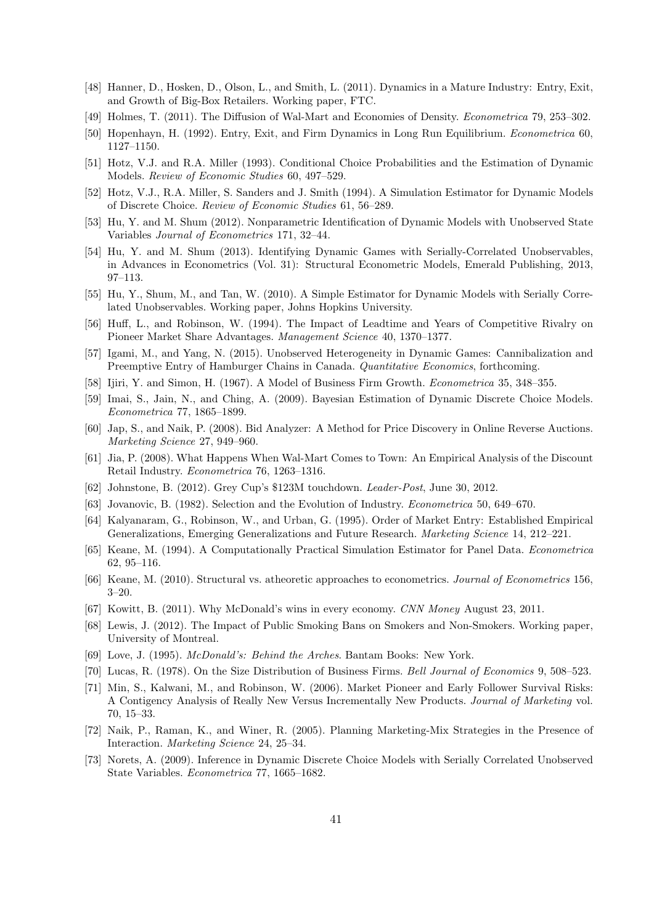- [48] Hanner, D., Hosken, D., Olson, L., and Smith, L. (2011). Dynamics in a Mature Industry: Entry, Exit, and Growth of Big-Box Retailers. Working paper, FTC.
- [49] Holmes, T. (2011). The Diffusion of Wal-Mart and Economies of Density. *Econometrica* 79, 253–302.
- [50] Hopenhayn, H. (1992). Entry, Exit, and Firm Dynamics in Long Run Equilibrium. *Econometrica* 60, 1127–1150.
- [51] Hotz, V.J. and R.A. Miller (1993). Conditional Choice Probabilities and the Estimation of Dynamic Models. *Review of Economic Studies* 60, 497–529.
- [52] Hotz, V.J., R.A. Miller, S. Sanders and J. Smith (1994). A Simulation Estimator for Dynamic Models of Discrete Choice. *Review of Economic Studies* 61, 56–289.
- [53] Hu, Y. and M. Shum (2012). Nonparametric Identification of Dynamic Models with Unobserved State Variables *Journal of Econometrics* 171, 32–44.
- [54] Hu, Y. and M. Shum (2013). Identifying Dynamic Games with Serially-Correlated Unobservables, in Advances in Econometrics (Vol. 31): Structural Econometric Models, Emerald Publishing, 2013, 97–113.
- [55] Hu, Y., Shum, M., and Tan, W. (2010). A Simple Estimator for Dynamic Models with Serially Correlated Unobservables. Working paper, Johns Hopkins University.
- [56] Huff, L., and Robinson, W. (1994). The Impact of Leadtime and Years of Competitive Rivalry on Pioneer Market Share Advantages. *Management Science* 40, 1370–1377.
- [57] Igami, M., and Yang, N. (2015). Unobserved Heterogeneity in Dynamic Games: Cannibalization and Preemptive Entry of Hamburger Chains in Canada. *Quantitative Economics*, forthcoming.
- [58] Ijiri, Y. and Simon, H. (1967). A Model of Business Firm Growth. *Econometrica* 35, 348–355.
- [59] Imai, S., Jain, N., and Ching, A. (2009). Bayesian Estimation of Dynamic Discrete Choice Models. *Econometrica* 77, 1865–1899.
- [60] Jap, S., and Naik, P. (2008). Bid Analyzer: A Method for Price Discovery in Online Reverse Auctions. *Marketing Science* 27, 949–960.
- [61] Jia, P. (2008). What Happens When Wal-Mart Comes to Town: An Empirical Analysis of the Discount Retail Industry. *Econometrica* 76, 1263–1316.
- [62] Johnstone, B. (2012). Grey Cup's \$123M touchdown. *Leader-Post*, June 30, 2012.
- [63] Jovanovic, B. (1982). Selection and the Evolution of Industry. *Econometrica* 50, 649–670.
- [64] Kalyanaram, G., Robinson, W., and Urban, G. (1995). Order of Market Entry: Established Empirical Generalizations, Emerging Generalizations and Future Research. *Marketing Science* 14, 212–221.
- [65] Keane, M. (1994). A Computationally Practical Simulation Estimator for Panel Data. *Econometrica* 62, 95–116.
- [66] Keane, M. (2010). Structural vs. atheoretic approaches to econometrics. *Journal of Econometrics* 156, 3–20.
- [67] Kowitt, B. (2011). Why McDonald's wins in every economy. *CNN Money* August 23, 2011.
- [68] Lewis, J. (2012). The Impact of Public Smoking Bans on Smokers and Non-Smokers. Working paper, University of Montreal.
- [69] Love, J. (1995). *McDonald's: Behind the Arches*. Bantam Books: New York.
- [70] Lucas, R. (1978). On the Size Distribution of Business Firms. *Bell Journal of Economics* 9, 508–523.
- [71] Min, S., Kalwani, M., and Robinson, W. (2006). Market Pioneer and Early Follower Survival Risks: A Contigency Analysis of Really New Versus Incrementally New Products. *Journal of Marketing* vol. 70, 15–33.
- [72] Naik, P., Raman, K., and Winer, R. (2005). Planning Marketing-Mix Strategies in the Presence of Interaction. *Marketing Science* 24, 25–34.
- [73] Norets, A. (2009). Inference in Dynamic Discrete Choice Models with Serially Correlated Unobserved State Variables. *Econometrica* 77, 1665–1682.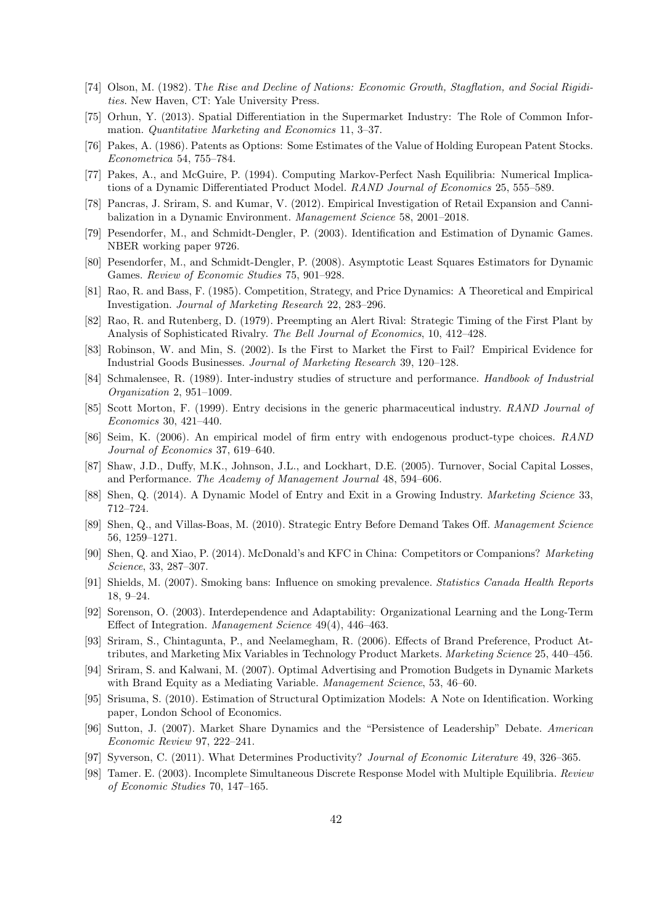- [74] Olson, M. (1982). T*he Rise and Decline of Nations: Economic Growth, Stagflation, and Social Rigidities*. New Haven, CT: Yale University Press.
- [75] Orhun, Y. (2013). Spatial Differentiation in the Supermarket Industry: The Role of Common Information. *Quantitative Marketing and Economics* 11, 3–37.
- [76] Pakes, A. (1986). Patents as Options: Some Estimates of the Value of Holding European Patent Stocks. *Econometrica* 54, 755–784.
- [77] Pakes, A., and McGuire, P. (1994). Computing Markov-Perfect Nash Equilibria: Numerical Implications of a Dynamic Differentiated Product Model. *RAND Journal of Economics* 25, 555–589.
- [78] Pancras, J. Sriram, S. and Kumar, V. (2012). Empirical Investigation of Retail Expansion and Cannibalization in a Dynamic Environment. *Management Science* 58, 2001–2018.
- [79] Pesendorfer, M., and Schmidt-Dengler, P. (2003). Identification and Estimation of Dynamic Games. NBER working paper 9726.
- [80] Pesendorfer, M., and Schmidt-Dengler, P. (2008). Asymptotic Least Squares Estimators for Dynamic Games. *Review of Economic Studies* 75, 901–928.
- [81] Rao, R. and Bass, F. (1985). Competition, Strategy, and Price Dynamics: A Theoretical and Empirical Investigation. *Journal of Marketing Research* 22, 283–296.
- [82] Rao, R. and Rutenberg, D. (1979). Preempting an Alert Rival: Strategic Timing of the First Plant by Analysis of Sophisticated Rivalry. *The Bell Journal of Economics*, 10, 412–428.
- [83] Robinson, W. and Min, S. (2002). Is the First to Market the First to Fail? Empirical Evidence for Industrial Goods Businesses. *Journal of Marketing Research* 39, 120–128.
- [84] Schmalensee, R. (1989). Inter-industry studies of structure and performance. *Handbook of Industrial Organization* 2, 951–1009.
- [85] Scott Morton, F. (1999). Entry decisions in the generic pharmaceutical industry. *RAND Journal of Economics* 30, 421–440.
- [86] Seim, K. (2006). An empirical model of firm entry with endogenous product-type choices. *RAND Journal of Economics* 37, 619–640.
- [87] Shaw, J.D., Duffy, M.K., Johnson, J.L., and Lockhart, D.E. (2005). Turnover, Social Capital Losses, and Performance. *The Academy of Management Journal* 48, 594–606.
- [88] Shen, Q. (2014). A Dynamic Model of Entry and Exit in a Growing Industry. *Marketing Science* 33, 712–724.
- [89] Shen, Q., and Villas-Boas, M. (2010). Strategic Entry Before Demand Takes Off. *Management Science* 56, 1259–1271.
- [90] Shen, Q. and Xiao, P. (2014). McDonald's and KFC in China: Competitors or Companions? *Marketing Science*, 33, 287–307.
- [91] Shields, M. (2007). Smoking bans: Influence on smoking prevalence. *Statistics Canada Health Reports* 18, 9–24.
- [92] Sorenson, O. (2003). Interdependence and Adaptability: Organizational Learning and the Long-Term Effect of Integration. *Management Science* 49(4), 446–463.
- [93] Sriram, S., Chintagunta, P., and Neelamegham, R. (2006). Effects of Brand Preference, Product Attributes, and Marketing Mix Variables in Technology Product Markets. *Marketing Science* 25, 440–456.
- [94] Sriram, S. and Kalwani, M. (2007). Optimal Advertising and Promotion Budgets in Dynamic Markets with Brand Equity as a Mediating Variable. *Management Science*, 53, 46–60.
- [95] Srisuma, S. (2010). Estimation of Structural Optimization Models: A Note on Identification. Working paper, London School of Economics.
- [96] Sutton, J. (2007). Market Share Dynamics and the "Persistence of Leadership" Debate. *American Economic Review* 97, 222–241.
- [97] Syverson, C. (2011). What Determines Productivity? *Journal of Economic Literature* 49, 326–365.
- [98] Tamer. E. (2003). Incomplete Simultaneous Discrete Response Model with Multiple Equilibria. *Review of Economic Studies* 70, 147–165.